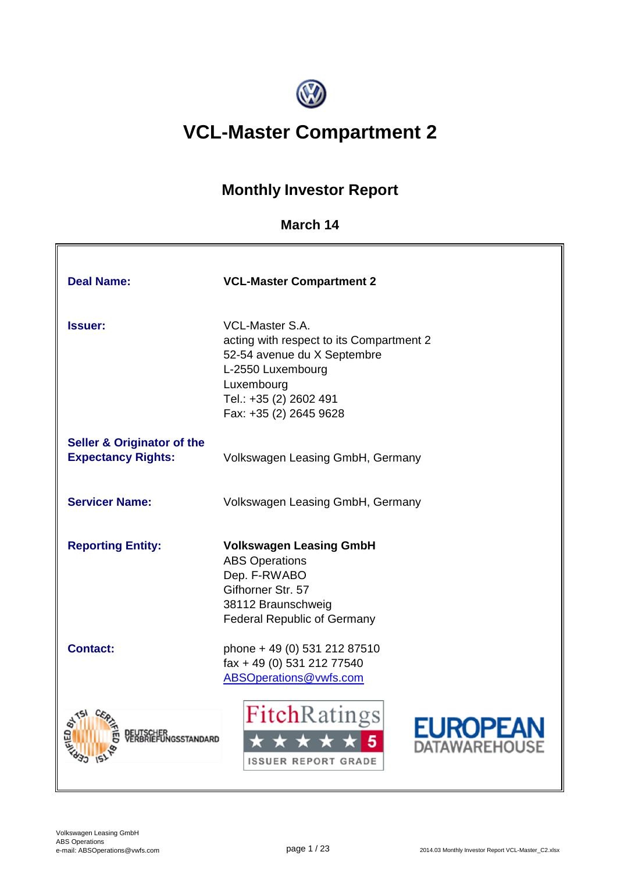

# **VCL-Master Compartment 2**

# **Monthly Investor Report**

### **March 14**

| <b>Deal Name:</b>                                                  | <b>VCL-Master Compartment 2</b>                                                                                                                                                          |  |  |  |  |  |
|--------------------------------------------------------------------|------------------------------------------------------------------------------------------------------------------------------------------------------------------------------------------|--|--|--|--|--|
| <b>Issuer:</b>                                                     | <b>VCL-Master S.A.</b><br>acting with respect to its Compartment 2<br>52-54 avenue du X Septembre<br>L-2550 Luxembourg<br>Luxembourg<br>Tel.: +35 (2) 2602 491<br>Fax: +35 (2) 2645 9628 |  |  |  |  |  |
| <b>Seller &amp; Originator of the</b><br><b>Expectancy Rights:</b> | Volkswagen Leasing GmbH, Germany                                                                                                                                                         |  |  |  |  |  |
| <b>Servicer Name:</b>                                              | Volkswagen Leasing GmbH, Germany                                                                                                                                                         |  |  |  |  |  |
| <b>Reporting Entity:</b>                                           | <b>Volkswagen Leasing GmbH</b><br><b>ABS Operations</b><br>Dep. F-RWABO<br>Gifhorner Str. 57<br>38112 Braunschweig<br><b>Federal Republic of Germany</b>                                 |  |  |  |  |  |
| <b>Contact:</b>                                                    | phone + 49 (0) 531 212 87510<br>fax + 49 (0) 531 212 77540<br>ABSOperations@vwfs.com                                                                                                     |  |  |  |  |  |
|                                                                    | FitchRatings<br>EUROPEA<br>TAWAREHOUSI<br><b>ISSUER REPORT GRADE</b>                                                                                                                     |  |  |  |  |  |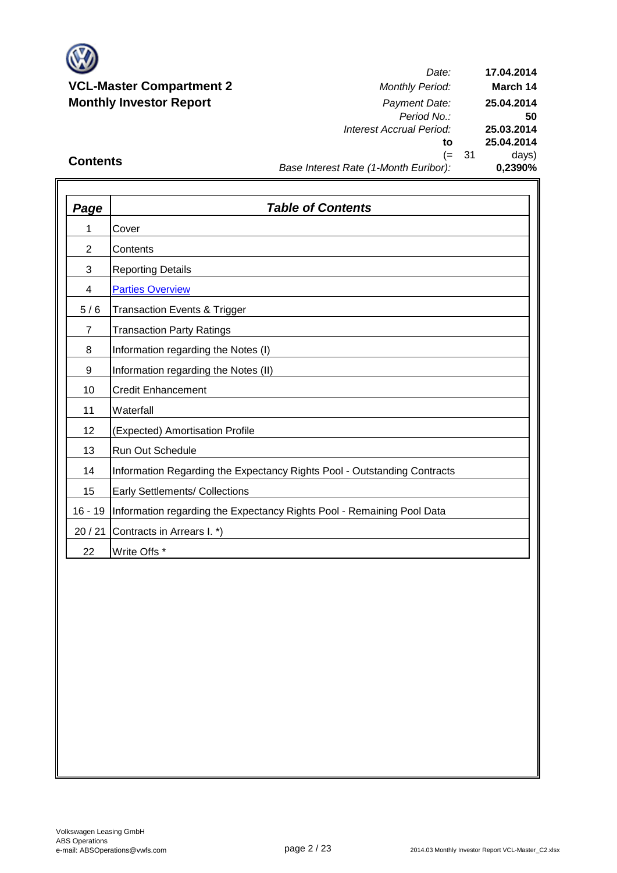

*Date: Period No.: Interest Accrual Period:* **to** (= 31 days) **25.03.2014 25.04.2014 0,2390% 17.04.2014 March 14 25.04.2014 50**

### **Contents**

## *Base Interest Rate (1-Month Euribor):*

| <b>Page</b>     | <b>Table of Contents</b>                                                 |
|-----------------|--------------------------------------------------------------------------|
| 1               | Cover                                                                    |
| $\overline{2}$  | Contents                                                                 |
| 3               | <b>Reporting Details</b>                                                 |
| 4               | <b>Parties Overview</b>                                                  |
| 5/6             | <b>Transaction Events &amp; Trigger</b>                                  |
| 7               | <b>Transaction Party Ratings</b>                                         |
| 8               | Information regarding the Notes (I)                                      |
| 9               | Information regarding the Notes (II)                                     |
| 10              | <b>Credit Enhancement</b>                                                |
| 11              | Waterfall                                                                |
| 12 <sup>2</sup> | (Expected) Amortisation Profile                                          |
| 13              | Run Out Schedule                                                         |
| 14              | Information Regarding the Expectancy Rights Pool - Outstanding Contracts |
| 15              | Early Settlements/ Collections                                           |
| $16 - 19$       | Information regarding the Expectancy Rights Pool - Remaining Pool Data   |
| 20/21           | Contracts in Arrears I. *)                                               |
| 22              | Write Offs *                                                             |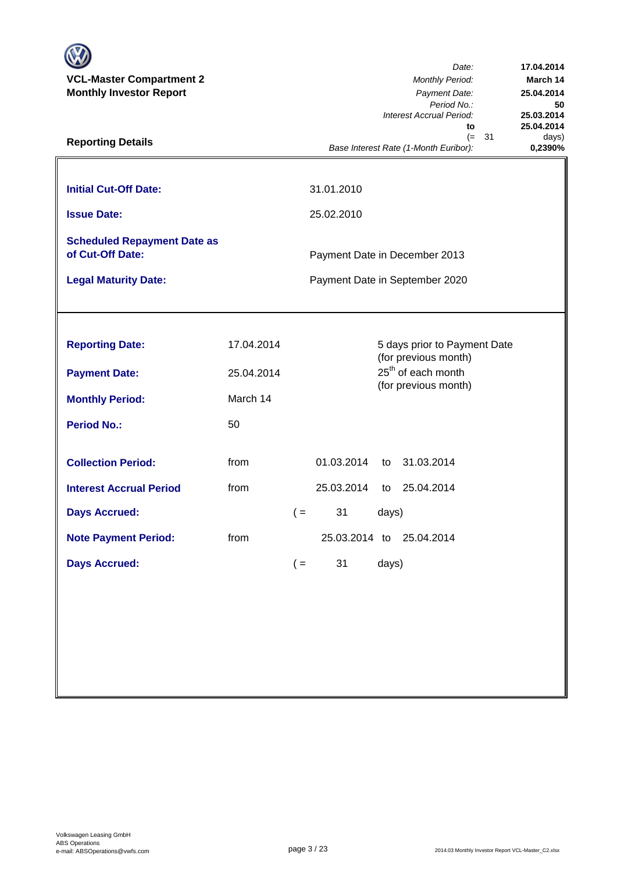| <b>VCL-Master Compartment 2</b><br><b>Monthly Investor Report</b><br><b>Reporting Details</b> |                          |       |                                                                 |          | Date:<br><b>Monthly Period:</b><br>Payment Date:<br>Period No.:<br>Interest Accrual Period:<br>to<br>31<br>$(=$<br>Base Interest Rate (1-Month Euribor): | 17.04.2014<br>March 14<br>25.04.2014<br>50<br>25.03.2014<br>25.04.2014<br>days)<br>0,2390% |  |
|-----------------------------------------------------------------------------------------------|--------------------------|-------|-----------------------------------------------------------------|----------|----------------------------------------------------------------------------------------------------------------------------------------------------------|--------------------------------------------------------------------------------------------|--|
| <b>Initial Cut-Off Date:</b><br><b>Issue Date:</b>                                            |                          |       | 31.01.2010<br>25.02.2010                                        |          |                                                                                                                                                          |                                                                                            |  |
| <b>Scheduled Repayment Date as</b><br>of Cut-Off Date:<br><b>Legal Maturity Date:</b>         |                          |       | Payment Date in December 2013<br>Payment Date in September 2020 |          |                                                                                                                                                          |                                                                                            |  |
|                                                                                               |                          |       |                                                                 |          |                                                                                                                                                          |                                                                                            |  |
| <b>Reporting Date:</b><br><b>Payment Date:</b>                                                | 17.04.2014<br>25.04.2014 |       |                                                                 |          | 5 days prior to Payment Date<br>(for previous month)<br>25 <sup>th</sup> of each month<br>(for previous month)                                           |                                                                                            |  |
| <b>Monthly Period:</b><br><b>Period No.:</b>                                                  | March 14<br>50           |       |                                                                 |          |                                                                                                                                                          |                                                                                            |  |
| <b>Collection Period:</b><br><b>Interest Accrual Period</b>                                   | from<br>from             |       | 01.03.2014<br>25.03.2014                                        | to<br>to | 31.03.2014<br>25.04.2014                                                                                                                                 |                                                                                            |  |
| <b>Days Accrued:</b>                                                                          |                          | $($ = | 31                                                              | days)    |                                                                                                                                                          |                                                                                            |  |
| <b>Note Payment Period:</b><br><b>Days Accrued:</b>                                           | from                     | $($ = | 25.03.2014 to<br>31                                             | days)    | 25.04.2014                                                                                                                                               |                                                                                            |  |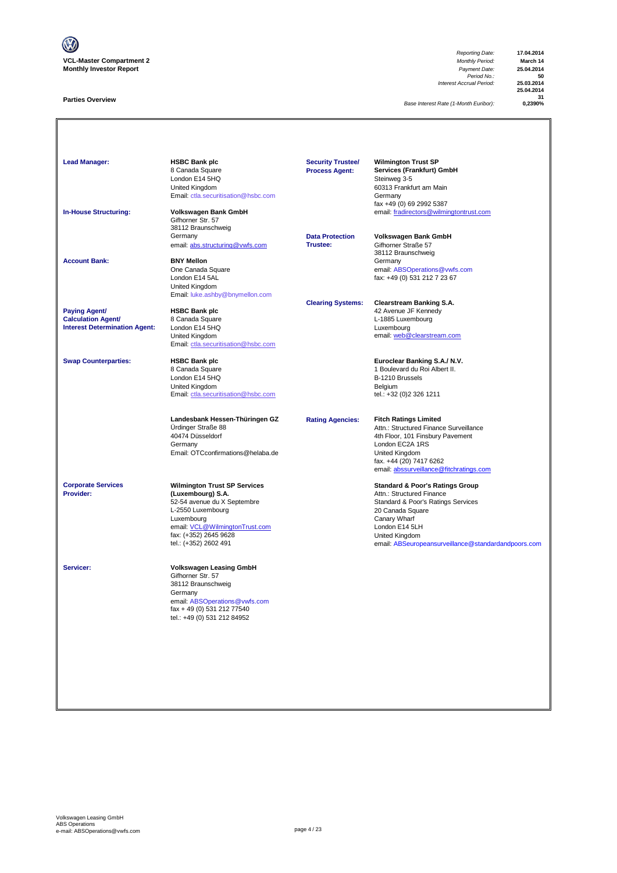

#### **Parties Overview**

*Reporting Date:* **17.04.2014** *Payment Date:* **25.04.2014**<br>*Period No.:* **50**<br>*Accrual Period:* **25.03.2014** *Interest Accrual Period:* **25.03.2014**

**25.04.2014** 31<br>**&AP**\$2 0

**Base Interest Rate (1-Month Euribor):** 

**Lead Manager: HSBC Bank plc Wilmington Trust SP Services (Frankfurt) GmbH**<br>Steinweg 3-5 8 Canada Square<br>London E14 5HQ<br>United Kingdom Summay 2<br>60313 Frankfurt am Main<br>Germany [Email: ctla.securitisation@hsbc.com](mailto:ctla.securitisation@hsbc.com) fax +49 (0) 69 2992 5387 **In-House Structuring: Volkswagen Bank GmbH** email: fradirectors@wilmingtontrust.com Gifhorner Str. 57 38112 Braunschweig Germany **Data Protection Volkswagen Bank GmbH** email: abs.structuring@vwfs.com 38112 Braunschweig **Account Bank: BNY Mellon**<br>
One Canada Square One Canada Square email: ABSOperations@vwfs.com London E14 5AL fax: +49 (0) 531 212 7 23 67 United Kingdom [Email: luke.ashby@bnymellon.com](mailto:ctla.securitisation@hsbc.com) **Clearing Systems: Clearstream Banking S.A. Paying Agent/ HSBC Bank plc All and Account 1999 12 Avenue JF Kennedy Calculation Agent/** 8 Canada Square **Calculation Agent/ Business Agent/ Business Agent/ Canada Square Calculation Agent/ Canada Square Calculation Agent/ Canada Square Canada Square Calculation Agent/** Interest Determination Agent: London E14 5HQ<br>United Kingdom United Kingdom email: <u>web @clearstream.com</u> [Email: ctla.securitisation@hsbc.com](mailto:ctla.securitisation@hsbc.com) **Swap Counterparties: HSBC Bank plc Euroclear Banking S.A./ N.V.** 1 Boulevard du Roi Albert II.<br>B-1210 Brussels London E14 5HQ<br>
United Kingdom<br>
Email: ctla.securitisation @hsbc.com<br>
Email: ctla.securitisation @hsbc.com<br>
Email: +32 (0)2 326 1211 United Kingdom [Email: ctla.securitisation@hsbc.com](mailto:ctla.securitisation@hsbc.com) **Landesbank Hessen-Thüringen GZ Rating Agencies: Fitch Ratings Limited** Ürdinger Straße 88 Attn.: Structured Finance Surveillance 40474 Düsseldorf 4th Floor, 101 Finsbury Pavement London EC2A 1RS Email: OTCconfirmations@helaba.de United Kingdom fax. +44 (20) 7417 6262 [email: abssurveillance@fitchratings.com](mailto:abssurveillance@fitchratings.com) **Corporate Services Wilmington Trust SP Services Corporate Services Standard & Poor's Ratings Group**<br> **Provider: Constant Corporation (Luxembourg) S.A. Constant Corporation Atthe Structured Finance** Attn.: Structured Finance Standard & Poor's Ratings Services<br>20 Canada Square 52-54 avenue du X Septembre<br>L-2550 Luxembourg<br>Luxembourg Lo Sanada Squa<br>Canary Wharf<br>London E14 5LH email: <u>VCL@WilmingtonTrust.com</u> London E14 5LH<br>fax: (+352) 2645 9628 <br>United Kingdom fax: (+352) 2645 9628 United Kingdom nsurveillance@standardandpoors.com **Servicer: Volkswagen Leasing GmbH** Gifhorner Str. 57 38112 Braunschweig Germany email: <u>ABSOperations@vwfs.com</u><br>fax + 49 (0) 531 212 77540 tel.: +49 (0) 531 212 84952 **Security Trustee/ Process Agent:**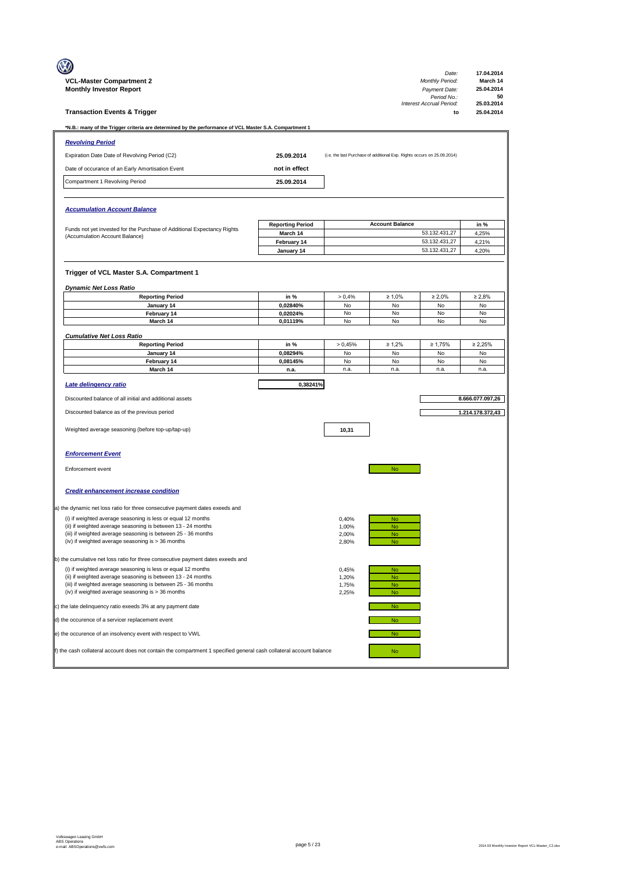|                                                                                                                     |                           |              |                                                                         | Date:                                         | 17.04.2014                     |
|---------------------------------------------------------------------------------------------------------------------|---------------------------|--------------|-------------------------------------------------------------------------|-----------------------------------------------|--------------------------------|
| <b>VCL-Master Compartment 2</b><br><b>Monthly Investor Report</b>                                                   |                           |              |                                                                         | <b>Monthly Period:</b><br>Payment Date:       | March 14<br>25.04.2014         |
| <b>Transaction Events &amp; Trigger</b>                                                                             |                           |              |                                                                         | Period No.:<br>Interest Accrual Period:<br>to | 50<br>25.03.2014<br>25.04.2014 |
|                                                                                                                     |                           |              |                                                                         |                                               |                                |
| *N.B.: many of the Trigger criteria are determined by the performance of VCL Master S.A. Compartment 1              |                           |              |                                                                         |                                               |                                |
| <b>Revolving Period</b>                                                                                             |                           |              |                                                                         |                                               |                                |
| Expiration Date Date of Revolving Period (C2)                                                                       | 25.09.2014                |              | (i.e. the last Purchase of additional Exp. Rights occurs on 25.09.2014) |                                               |                                |
| Date of occurance of an Early Amortisation Event                                                                    | not in effect             |              |                                                                         |                                               |                                |
| Compartment 1 Revolving Period                                                                                      | 25.09.2014                |              |                                                                         |                                               |                                |
|                                                                                                                     |                           |              |                                                                         |                                               |                                |
| <b>Accumulation Account Balance</b>                                                                                 |                           |              |                                                                         |                                               |                                |
| Funds not yet invested for the Purchase of Additional Expectancy Rights                                             | <b>Reporting Period</b>   |              | <b>Account Balance</b>                                                  |                                               | in %                           |
| (Accumulation Account Balance)                                                                                      | March 14                  |              |                                                                         | 53.132.431,27                                 | 4,25%                          |
|                                                                                                                     | February 14<br>January 14 |              |                                                                         | 53.132.431,27<br>53.132.431,27                | 4,21%<br>4,20%                 |
|                                                                                                                     |                           |              |                                                                         |                                               |                                |
| Trigger of VCL Master S.A. Compartment 1                                                                            |                           |              |                                                                         |                                               |                                |
|                                                                                                                     |                           |              |                                                                         |                                               |                                |
| <b>Dynamic Net Loss Ratio</b>                                                                                       |                           |              |                                                                         |                                               |                                |
| <b>Reporting Period</b><br>January 14                                                                               | in %<br>0,02840%          | > 0,4%<br>No | $\geq 1,0\%$<br>No                                                      | $\geq 2,0\%$<br>No                            | $\geq 2,8\%$<br>No             |
| February 14                                                                                                         | 0,02024%                  | No           | No                                                                      | No                                            | No                             |
| March 14                                                                                                            | 0,01119%                  | No           | No                                                                      | No                                            | No                             |
| <b>Cumulative Net Loss Ratio</b>                                                                                    |                           |              |                                                                         |                                               |                                |
| <b>Reporting Period</b>                                                                                             | in %                      | > 0,45%      | $\geq 1,2\%$                                                            | $\geq 1,75%$                                  | $\geq 2,25\%$                  |
| January 14                                                                                                          | 0,08294%                  | No           | No                                                                      | No                                            | No                             |
| February 14                                                                                                         | 0,08145%                  | No           | No                                                                      | No                                            | No                             |
| March 14                                                                                                            | n.a.                      | n.a.         | n.a.                                                                    | n.a.                                          | n.a.                           |
| Late delingency ratio                                                                                               | 0,38241%                  |              |                                                                         |                                               |                                |
| Discounted balance of all initial and additional assets                                                             |                           |              |                                                                         |                                               | 8.666.077.097,26               |
| Discounted balance as of the previous period                                                                        |                           |              |                                                                         |                                               | 1.214.178.372,43               |
|                                                                                                                     |                           |              |                                                                         |                                               |                                |
| Weighted average seasoning (before top-up/tap-up)                                                                   |                           | 10,31        |                                                                         |                                               |                                |
|                                                                                                                     |                           |              |                                                                         |                                               |                                |
| <b>Enforcement Event</b>                                                                                            |                           |              |                                                                         |                                               |                                |
|                                                                                                                     |                           |              |                                                                         |                                               |                                |
| Enforcement event                                                                                                   |                           |              | No                                                                      |                                               |                                |
|                                                                                                                     |                           |              |                                                                         |                                               |                                |
| <b>Credit enhancement increase condition</b>                                                                        |                           |              |                                                                         |                                               |                                |
| a) the dynamic net loss ratio for three consecutive payment dates exeeds and                                        |                           |              |                                                                         |                                               |                                |
|                                                                                                                     |                           |              |                                                                         |                                               |                                |
| (i) if weighted average seasoning is less or equal 12 months                                                        |                           | 0,40%        |                                                                         |                                               |                                |
| (ii) if weighted average seasoning is between 13 - 24 months                                                        |                           | 1,00%        | No<br>No.                                                               |                                               |                                |
| (iii) if weighted average seasoning is between 25 - 36 months                                                       |                           | 2,00%        | <b>No</b>                                                               |                                               |                                |
| (iv) if weighted average seasoning is > 36 months                                                                   |                           | 2,80%        | <b>No</b>                                                               |                                               |                                |
| b) the cumulative net loss ratio for three consecutive payment dates exeeds and                                     |                           |              |                                                                         |                                               |                                |
| (i) if weighted average seasoning is less or equal 12 months                                                        |                           | 0,45%        | <b>No</b>                                                               |                                               |                                |
| (ii) if weighted average seasoning is between 13 - 24 months                                                        |                           | 1,20%        | <b>No</b>                                                               |                                               |                                |
| (iii) if weighted average seasoning is between 25 - 36 months                                                       |                           | 1,75%        | <b>No</b>                                                               |                                               |                                |
| (iv) if weighted average seasoning is > 36 months                                                                   |                           | 2,25%        | <b>No</b><br><b>No</b>                                                  |                                               |                                |
| c) the late delinquency ratio exeeds 3% at any payment date<br>d) the occurence of a servicer replacement event     |                           |              | No                                                                      |                                               |                                |
| e) the occurence of an insolvency event with respect to VWL                                                         |                           |              | <b>No</b>                                                               |                                               |                                |
| f) the cash collateral account does not contain the compartment 1 specified general cash collateral account balance |                           |              | No                                                                      |                                               |                                |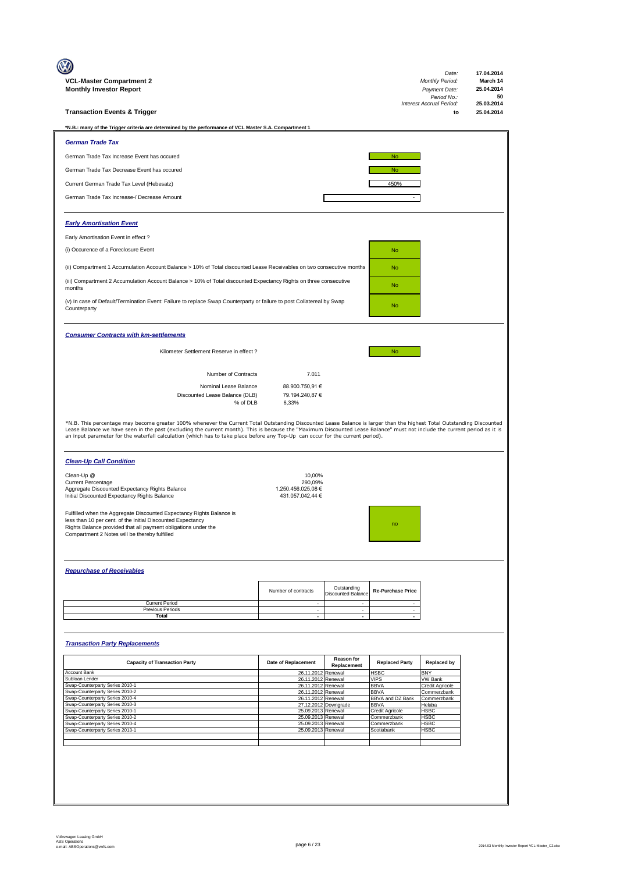| VCL-Master Compartment 2                                                                                                                                                                                                                                                                                                                                                                                                                                                             |                                        |                                          |                                 | Date:<br><b>Monthly Period:</b>         | 17.04.2014<br>March 14 |
|--------------------------------------------------------------------------------------------------------------------------------------------------------------------------------------------------------------------------------------------------------------------------------------------------------------------------------------------------------------------------------------------------------------------------------------------------------------------------------------|----------------------------------------|------------------------------------------|---------------------------------|-----------------------------------------|------------------------|
| <b>Monthly Investor Report</b>                                                                                                                                                                                                                                                                                                                                                                                                                                                       |                                        |                                          |                                 | Payment Date:                           | 25.04.2014             |
|                                                                                                                                                                                                                                                                                                                                                                                                                                                                                      |                                        |                                          |                                 | Period No.:<br>Interest Accrual Period: | 50<br>25.03.2014       |
| <b>Transaction Events &amp; Trigger</b>                                                                                                                                                                                                                                                                                                                                                                                                                                              |                                        |                                          |                                 | to                                      | 25.04.2014             |
| *N.B.: many of the Trigger criteria are determined by the performance of VCL Master S.A. Compartment 1                                                                                                                                                                                                                                                                                                                                                                               |                                        |                                          |                                 |                                         |                        |
|                                                                                                                                                                                                                                                                                                                                                                                                                                                                                      |                                        |                                          |                                 |                                         |                        |
| <b>German Trade Tax</b>                                                                                                                                                                                                                                                                                                                                                                                                                                                              |                                        |                                          |                                 |                                         |                        |
| German Trade Tax Increase Event has occured                                                                                                                                                                                                                                                                                                                                                                                                                                          |                                        |                                          | <b>No</b>                       |                                         |                        |
| German Trade Tax Decrease Event has occured                                                                                                                                                                                                                                                                                                                                                                                                                                          |                                        |                                          | <b>No</b>                       |                                         |                        |
| Current German Trade Tax Level (Hebesatz)                                                                                                                                                                                                                                                                                                                                                                                                                                            |                                        |                                          | 450%                            |                                         |                        |
|                                                                                                                                                                                                                                                                                                                                                                                                                                                                                      |                                        |                                          |                                 |                                         |                        |
| German Trade Tax Increase-/ Decrease Amount                                                                                                                                                                                                                                                                                                                                                                                                                                          |                                        |                                          |                                 |                                         |                        |
|                                                                                                                                                                                                                                                                                                                                                                                                                                                                                      |                                        |                                          |                                 |                                         |                        |
| <b>Early Amortisation Event</b>                                                                                                                                                                                                                                                                                                                                                                                                                                                      |                                        |                                          |                                 |                                         |                        |
| Early Amortisation Event in effect?                                                                                                                                                                                                                                                                                                                                                                                                                                                  |                                        |                                          |                                 |                                         |                        |
| (i) Occurence of a Foreclosure Event                                                                                                                                                                                                                                                                                                                                                                                                                                                 |                                        |                                          | <b>No</b>                       |                                         |                        |
|                                                                                                                                                                                                                                                                                                                                                                                                                                                                                      |                                        |                                          |                                 |                                         |                        |
| (ii) Compartment 1 Accumulation Account Balance > 10% of Total discounted Lease Receivables on two consecutive months                                                                                                                                                                                                                                                                                                                                                                |                                        |                                          | <b>No</b>                       |                                         |                        |
| (iii) Compartment 2 Accumulation Account Balance > 10% of Total discounted Expectancy Rights on three consecutive                                                                                                                                                                                                                                                                                                                                                                    |                                        |                                          |                                 |                                         |                        |
| months                                                                                                                                                                                                                                                                                                                                                                                                                                                                               |                                        |                                          | <b>No</b>                       |                                         |                        |
| (v) In case of Default/Termination Event: Failure to replace Swap Counterparty or failure to post Collatereal by Swap                                                                                                                                                                                                                                                                                                                                                                |                                        |                                          | <b>No</b>                       |                                         |                        |
| Counterparty                                                                                                                                                                                                                                                                                                                                                                                                                                                                         |                                        |                                          |                                 |                                         |                        |
|                                                                                                                                                                                                                                                                                                                                                                                                                                                                                      |                                        |                                          |                                 |                                         |                        |
| <b>Consumer Contracts with km-settlements</b>                                                                                                                                                                                                                                                                                                                                                                                                                                        |                                        |                                          |                                 |                                         |                        |
| Kilometer Settlement Reserve in effect ?                                                                                                                                                                                                                                                                                                                                                                                                                                             |                                        |                                          |                                 |                                         |                        |
|                                                                                                                                                                                                                                                                                                                                                                                                                                                                                      |                                        |                                          | <b>No</b>                       |                                         |                        |
|                                                                                                                                                                                                                                                                                                                                                                                                                                                                                      |                                        |                                          |                                 |                                         |                        |
| Number of Contracts                                                                                                                                                                                                                                                                                                                                                                                                                                                                  | 7.011                                  |                                          |                                 |                                         |                        |
| Nominal Lease Balance<br>Discounted Lease Balance (DLB)                                                                                                                                                                                                                                                                                                                                                                                                                              | 88.900.750,91 €<br>79.194.240,87 €     |                                          |                                 |                                         |                        |
| % of DLB                                                                                                                                                                                                                                                                                                                                                                                                                                                                             | 6,33%                                  |                                          |                                 |                                         |                        |
|                                                                                                                                                                                                                                                                                                                                                                                                                                                                                      |                                        |                                          |                                 |                                         |                        |
| *N.B. This percentage may become greater 100% whenever the Current Total Outstanding Discounted Lease Balance is larger than the highest Total Outstanding Discounted<br>Lease Balance we have seen in the past (excluding the current month). This is because the "Maximum Discounted Lease Balance" must not include the current period as it is<br>an input parameter for the waterfall calculation (which has to take place before any Top-Up can occur for the current period). |                                        |                                          |                                 |                                         |                        |
| <b>Clean-Up Call Condition</b>                                                                                                                                                                                                                                                                                                                                                                                                                                                       |                                        |                                          |                                 |                                         |                        |
|                                                                                                                                                                                                                                                                                                                                                                                                                                                                                      |                                        |                                          |                                 |                                         |                        |
| Clean-Up @<br><b>Current Percentage</b>                                                                                                                                                                                                                                                                                                                                                                                                                                              | 10.00%<br>290,09%                      |                                          |                                 |                                         |                        |
| Aggregate Discounted Expectancy Rights Balance<br>Initial Discounted Expectancy Rights Balance                                                                                                                                                                                                                                                                                                                                                                                       | 1.250.456.025.08 €<br>431.057.042,44 € |                                          |                                 |                                         |                        |
|                                                                                                                                                                                                                                                                                                                                                                                                                                                                                      |                                        |                                          |                                 |                                         |                        |
| Fulfilled when the Aggregate Discounted Expectancy Rights Balance is                                                                                                                                                                                                                                                                                                                                                                                                                 |                                        |                                          |                                 |                                         |                        |
| less than 10 per cent. of the Initial Discounted Expectancy<br>Rights Balance provided that all payment obligations under the                                                                                                                                                                                                                                                                                                                                                        |                                        |                                          |                                 |                                         |                        |
| Compartment 2 Notes will be thereby fulfilled                                                                                                                                                                                                                                                                                                                                                                                                                                        |                                        |                                          |                                 |                                         |                        |
|                                                                                                                                                                                                                                                                                                                                                                                                                                                                                      |                                        |                                          |                                 |                                         |                        |
|                                                                                                                                                                                                                                                                                                                                                                                                                                                                                      |                                        |                                          |                                 |                                         |                        |
| <b>Repurchase of Receivables</b>                                                                                                                                                                                                                                                                                                                                                                                                                                                     |                                        |                                          |                                 |                                         |                        |
|                                                                                                                                                                                                                                                                                                                                                                                                                                                                                      |                                        |                                          |                                 |                                         |                        |
|                                                                                                                                                                                                                                                                                                                                                                                                                                                                                      |                                        |                                          |                                 |                                         |                        |
|                                                                                                                                                                                                                                                                                                                                                                                                                                                                                      | Number of contracts                    | Outstanding<br><b>Discounted Balance</b> | <b>Re-Purchase Price</b>        |                                         |                        |
| <b>Current Period</b>                                                                                                                                                                                                                                                                                                                                                                                                                                                                | $\sim$                                 | $\sim$                                   | $\sim$                          |                                         |                        |
| Previous Periods<br>Total                                                                                                                                                                                                                                                                                                                                                                                                                                                            | $\sim$<br>$\sim$                       | $\sim$<br>$\sim$                         | $\sim$<br>$\sim$                |                                         |                        |
|                                                                                                                                                                                                                                                                                                                                                                                                                                                                                      |                                        |                                          |                                 |                                         |                        |
|                                                                                                                                                                                                                                                                                                                                                                                                                                                                                      |                                        |                                          |                                 |                                         |                        |
| <b>Transaction Party Replacements</b>                                                                                                                                                                                                                                                                                                                                                                                                                                                |                                        |                                          |                                 |                                         |                        |
|                                                                                                                                                                                                                                                                                                                                                                                                                                                                                      |                                        | <b>Reason for</b>                        |                                 |                                         |                        |
| <b>Capacity of Transaction Party</b>                                                                                                                                                                                                                                                                                                                                                                                                                                                 | Date of Replacement                    | Replacement                              | <b>Replaced Party</b>           | <b>Replaced by</b><br><b>BNY</b>        |                        |
| Account Bank<br>Subloan Lender                                                                                                                                                                                                                                                                                                                                                                                                                                                       | 26.11.2012<br>26.11.2012               | Renewal<br>Renewal                       | <b>HSBC</b><br><b>VIPS</b>      | <b>VW Bank</b>                          |                        |
| Swap-Counterparty Series 2010-1<br>Swap-Counterparty Series 2010-2                                                                                                                                                                                                                                                                                                                                                                                                                   | 26.11.2012<br>26.11.2012               | Renewal<br>Renewal                       | <b>BBVA</b><br><b>BBVA</b>      | Credit Agricole<br>Commerzbank          |                        |
| Swap-Counterparty Series 2010-4                                                                                                                                                                                                                                                                                                                                                                                                                                                      | 26.11.2012                             | Renewal<br>27.12.2012 Downgrade          | BBVA and DZ Bank<br><b>BBVA</b> | Commerzbank<br>Helaba                   |                        |
| Swap-Counterparty Series 2010-3<br>Swap-Counterparty Series 2010-1                                                                                                                                                                                                                                                                                                                                                                                                                   | 25.09.2013 Renewal                     |                                          | Credit Agricole                 | <b>HSBC</b>                             |                        |
| Swap-Counterparty Series 2010-2<br>Swap-Counterparty Series 2010-4                                                                                                                                                                                                                                                                                                                                                                                                                   | 25.09.2013<br>25.09.2013               | Renewal<br>Renewal                       | Commerzbank<br>Commerzbank      | <b>HSBC</b><br><b>HSBC</b>              |                        |
| Swap-Counterparty Series 2013-1                                                                                                                                                                                                                                                                                                                                                                                                                                                      | 25.09.2013                             | Renewal                                  | Scotiabank                      | <b>HSBC</b>                             |                        |
|                                                                                                                                                                                                                                                                                                                                                                                                                                                                                      |                                        |                                          |                                 |                                         |                        |
|                                                                                                                                                                                                                                                                                                                                                                                                                                                                                      |                                        |                                          |                                 |                                         |                        |
|                                                                                                                                                                                                                                                                                                                                                                                                                                                                                      |                                        |                                          |                                 |                                         |                        |
|                                                                                                                                                                                                                                                                                                                                                                                                                                                                                      |                                        |                                          |                                 |                                         |                        |
|                                                                                                                                                                                                                                                                                                                                                                                                                                                                                      |                                        |                                          |                                 |                                         |                        |
|                                                                                                                                                                                                                                                                                                                                                                                                                                                                                      |                                        |                                          |                                 |                                         |                        |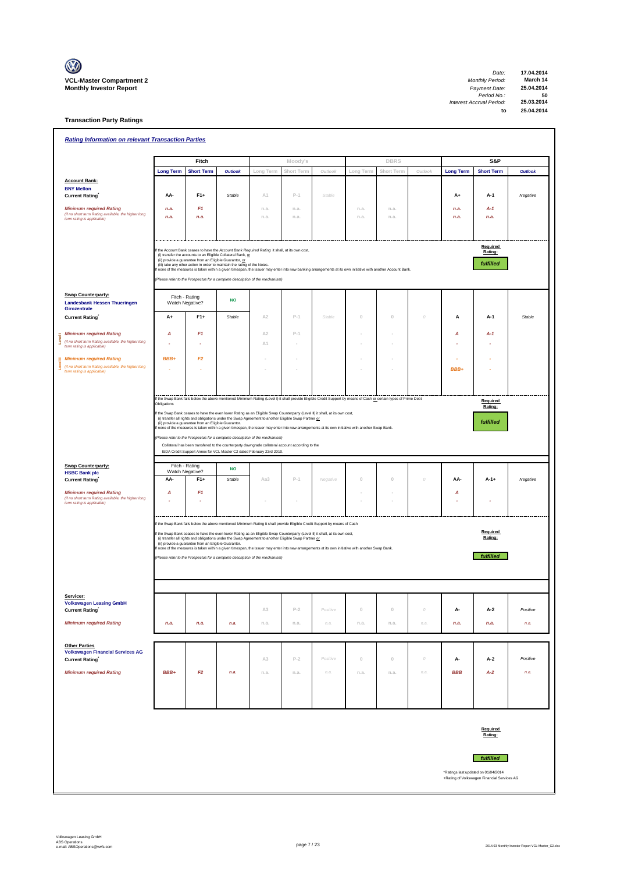

 $\overline{\phantom{0}}$ 

**Transaction Party Ratings**

| <b>Rating Information on relevant Transaction Parties</b>                                      |                        |                                                         |                                                                                                                                                                           |                |              |                                                                                                                                                                    |              |              |          |                  |                                             |                |
|------------------------------------------------------------------------------------------------|------------------------|---------------------------------------------------------|---------------------------------------------------------------------------------------------------------------------------------------------------------------------------|----------------|--------------|--------------------------------------------------------------------------------------------------------------------------------------------------------------------|--------------|--------------|----------|------------------|---------------------------------------------|----------------|
|                                                                                                |                        | Fitch                                                   |                                                                                                                                                                           |                | Moody's      |                                                                                                                                                                    |              | <b>DBRS</b>  |          |                  | S&P                                         |                |
|                                                                                                | <b>Long Term</b>       | <b>Short Term</b>                                       | <b>Outlook</b>                                                                                                                                                            | Long Term      | Short Term   | Outlook                                                                                                                                                            | Long Term    | Short Term   | Outlook  | <b>Long Term</b> | <b>Short Term</b>                           | <b>Outlook</b> |
| <b>Account Bank:</b>                                                                           |                        |                                                         |                                                                                                                                                                           |                |              |                                                                                                                                                                    |              |              |          |                  |                                             |                |
| <b>BNY Mellon</b><br><b>Current Rating</b>                                                     | AA-                    | $F1+$                                                   | Stable                                                                                                                                                                    | A1             | $P-1$        | Stable                                                                                                                                                             |              |              |          | $A+$             | A-1                                         | Negative       |
|                                                                                                |                        |                                                         |                                                                                                                                                                           |                |              |                                                                                                                                                                    |              |              |          |                  |                                             |                |
| <b>Minimum required Rating</b><br>(if no short term Rating available, the higher long          | n.a.<br>n.a.           | F1<br>n.a.                                              |                                                                                                                                                                           | n.a.<br>n.a.   | n.a.<br>n.a. |                                                                                                                                                                    | n.a.<br>n.a. | n.a.<br>n.a. |          | n.a.<br>n.a.     | A-1<br>n.a.                                 |                |
| term rating is applicable)                                                                     |                        |                                                         |                                                                                                                                                                           |                |              |                                                                                                                                                                    |              |              |          |                  |                                             |                |
|                                                                                                |                        |                                                         |                                                                                                                                                                           |                |              |                                                                                                                                                                    |              |              |          |                  |                                             |                |
|                                                                                                |                        |                                                         | If the Account Bank ceases to have the Account Bank Required Rating it shall, at its own cost,                                                                            |                |              |                                                                                                                                                                    |              |              |          |                  | Required                                    |                |
|                                                                                                |                        | (ii) provide a guarantee from an Eligible Guarantor, or | (i) transfer the accounts to an Eligible Collateral Bank, or                                                                                                              |                |              |                                                                                                                                                                    |              |              |          |                  | Rating:                                     |                |
|                                                                                                |                        |                                                         | (iii) take any other action in order to maintain the rating of the Notes.                                                                                                 |                |              | none of the measures is taken within a given timespan, the Issuer may enter into new banking arrangements at its own initiative with another Account Bank.         |              |              |          |                  | fulfilled                                   |                |
|                                                                                                |                        |                                                         | (Please refer to the Prospectus for a complete description of the mechanism)                                                                                              |                |              |                                                                                                                                                                    |              |              |          |                  |                                             |                |
| <b>Swap Counterparty:</b>                                                                      |                        |                                                         |                                                                                                                                                                           |                |              |                                                                                                                                                                    |              |              |          |                  |                                             |                |
| <b>Landesbank Hessen Thueringen</b>                                                            |                        | Fitch - Rating<br>Watch Negative?                       | <b>NO</b>                                                                                                                                                                 |                |              |                                                                                                                                                                    |              |              |          |                  |                                             |                |
| Girozentrale<br><b>Current Rating</b>                                                          | A+                     | $F1+$                                                   | Stable                                                                                                                                                                    | A2             | $P-1$        | Stable                                                                                                                                                             | $\mathbb O$  | $\Omega$     | $\cal O$ | A                | $A-1$                                       | Stable         |
|                                                                                                |                        |                                                         |                                                                                                                                                                           |                |              |                                                                                                                                                                    |              |              |          |                  |                                             |                |
| <b>Minimum required Rating</b><br>Level<br>(if no short term Rating available, the higher long | A                      | F <sub>1</sub>                                          |                                                                                                                                                                           | A <sub>2</sub> | $P-1$        |                                                                                                                                                                    |              |              |          | Α                | $A-1$                                       |                |
| term rating is applicable)                                                                     |                        |                                                         |                                                                                                                                                                           | A1             |              |                                                                                                                                                                    |              |              |          |                  |                                             |                |
| <b>Minimum required Rating</b>                                                                 | BBB+                   | F2                                                      |                                                                                                                                                                           |                |              |                                                                                                                                                                    |              |              |          |                  |                                             |                |
| (if no short term Rating available, the higher long<br>term rating is applicable)              |                        |                                                         |                                                                                                                                                                           |                |              |                                                                                                                                                                    |              |              |          | BBB+             |                                             |                |
|                                                                                                |                        |                                                         |                                                                                                                                                                           |                |              |                                                                                                                                                                    |              |              |          |                  |                                             |                |
|                                                                                                |                        |                                                         |                                                                                                                                                                           |                |              | If the Swap Bank falls below the above mentioned Minimum Rating (Level I) it shall provide Eligible Credit Support by means of Cash or certain types of Prime Debt |              |              |          |                  |                                             |                |
|                                                                                                | Obligations            |                                                         |                                                                                                                                                                           |                |              |                                                                                                                                                                    |              |              |          |                  | Required<br>Rating:                         |                |
|                                                                                                |                        |                                                         | (i) transfer all rights and obligations under the Swap Agreement to another Eligible Swap Partner or                                                                      |                |              | If the Swap Bank ceases to have the even lower Rating as an Eligible Swap Counterparty (Level II) it shall, at its own cost,                                       |              |              |          |                  |                                             |                |
|                                                                                                |                        | (ii) provide a guarantee from an Eligible Guarantor.    |                                                                                                                                                                           |                |              | f none of the measures is taken within a given timespan, the Issuer may enter into new arrangements at its own initiative with another Swap Bank.                  |              |              |          |                  | fulfilled                                   |                |
|                                                                                                |                        |                                                         | Please refer to the Prospectus for a complete description of the mechanism)                                                                                               |                |              |                                                                                                                                                                    |              |              |          |                  |                                             |                |
|                                                                                                |                        |                                                         | Collateral has been transfered to the counterparty downgrade collateral account according to the<br>ISDA Credit Support Annex for VCL Master C2 dated February 23rd 2010. |                |              |                                                                                                                                                                    |              |              |          |                  |                                             |                |
| <b>Swap Counterparty:</b>                                                                      |                        | Fitch - Rating                                          |                                                                                                                                                                           |                |              |                                                                                                                                                                    |              |              |          |                  |                                             |                |
| <b>HSBC Bank plc</b>                                                                           | Watch Negative?<br>AA- | $F1+$                                                   | <b>NO</b><br>Stable                                                                                                                                                       | Aa3            | $P-1$        | Negative                                                                                                                                                           | $\mathbb O$  | $\,0\,$      | 0        |                  | $A-1+$                                      | Negative       |
| <b>Current Rating</b>                                                                          |                        |                                                         |                                                                                                                                                                           |                |              |                                                                                                                                                                    |              |              |          | AA-              |                                             |                |
| <b>Minimum required Rating</b><br>(if no short term Rating available, the higher long          | A                      | F <sub>1</sub>                                          |                                                                                                                                                                           |                |              |                                                                                                                                                                    |              |              |          | Α                |                                             |                |
| term rating is applicable)                                                                     |                        |                                                         |                                                                                                                                                                           |                |              |                                                                                                                                                                    |              |              |          |                  |                                             |                |
|                                                                                                |                        |                                                         |                                                                                                                                                                           |                |              | If the Swap Bank falls below the above mentioned Minimum Rating it shall provide Eligible Credit Support by means of Cash                                          |              |              |          |                  |                                             |                |
|                                                                                                |                        |                                                         | (i) transfer all rights and obligations under the Swap Agreement to another Eligible Swap Partner or                                                                      |                |              | If the Swap Bank ceases to have the even lower Rating as an Eligible Swap Counterparty (Level II) it shall, at its own cost,                                       |              |              |          |                  | Required<br>Rating:                         |                |
|                                                                                                |                        | (ii) provide a guarantee from an Eligible Guarantor.    |                                                                                                                                                                           |                |              | f none of the measures is taken within a given timespan, the Issuer may enter into new arrangements at its own initiative with another Swap Bank.                  |              |              |          |                  |                                             |                |
|                                                                                                |                        |                                                         | (Please refer to the Prospectus for a complete description of the mechanism)                                                                                              |                |              |                                                                                                                                                                    |              |              |          |                  | fulfilled                                   |                |
|                                                                                                |                        |                                                         |                                                                                                                                                                           |                |              |                                                                                                                                                                    |              |              |          |                  |                                             |                |
|                                                                                                |                        |                                                         |                                                                                                                                                                           |                |              |                                                                                                                                                                    |              |              |          |                  |                                             |                |
| Servicer:                                                                                      |                        |                                                         |                                                                                                                                                                           |                |              |                                                                                                                                                                    |              |              |          |                  |                                             |                |
| <b>VOIKSWagen Leasing GmbH</b><br><b>Current Rating</b>                                        |                        |                                                         |                                                                                                                                                                           | A3             | $P-2$        | Positive                                                                                                                                                           | $\mathbb O$  | $\,0\,$      | $\cal O$ | А-               | A-2                                         | Positive       |
|                                                                                                |                        |                                                         |                                                                                                                                                                           |                |              |                                                                                                                                                                    |              |              |          |                  |                                             |                |
| <b>Minimum required Rating</b>                                                                 | n.a.                   | n.a.                                                    | n.a.                                                                                                                                                                      | n.a.           | n.a.         | n.a.                                                                                                                                                               | n.a.         | n.a.         | n.a.     | n.a.             | n.a.                                        | n.a.           |
|                                                                                                |                        |                                                         |                                                                                                                                                                           |                |              |                                                                                                                                                                    |              |              |          |                  |                                             |                |
| <b>Other Parties</b><br><b>Volkswagen Financial Services AG</b>                                |                        |                                                         |                                                                                                                                                                           |                |              |                                                                                                                                                                    |              |              |          |                  |                                             |                |
| Current Rating                                                                                 |                        |                                                         |                                                                                                                                                                           | A3             | $P-2$        | Positive                                                                                                                                                           | $\mathbb O$  | $\,0\,$      | $\cal O$ | А-               | $A-2$                                       | Positive       |
| <b>Minimum required Rating</b>                                                                 | BBB+                   | F2                                                      | n.a.                                                                                                                                                                      | n.a.           | n.a.         | n.a.                                                                                                                                                               | n.a.         | n.a.         | n.a.     | <b>BBB</b>       | $A-2$                                       | n.a.           |
|                                                                                                |                        |                                                         |                                                                                                                                                                           |                |              |                                                                                                                                                                    |              |              |          |                  |                                             |                |
|                                                                                                |                        |                                                         |                                                                                                                                                                           |                |              |                                                                                                                                                                    |              |              |          |                  |                                             |                |
|                                                                                                |                        |                                                         |                                                                                                                                                                           |                |              |                                                                                                                                                                    |              |              |          |                  |                                             |                |
|                                                                                                |                        |                                                         |                                                                                                                                                                           |                |              |                                                                                                                                                                    |              |              |          |                  |                                             |                |
|                                                                                                |                        |                                                         |                                                                                                                                                                           |                |              |                                                                                                                                                                    |              |              |          |                  | Required<br>Rating:                         |                |
|                                                                                                |                        |                                                         |                                                                                                                                                                           |                |              |                                                                                                                                                                    |              |              |          |                  |                                             |                |
|                                                                                                |                        |                                                         |                                                                                                                                                                           |                |              |                                                                                                                                                                    |              |              |          |                  | fulfilled                                   |                |
|                                                                                                |                        |                                                         |                                                                                                                                                                           |                |              |                                                                                                                                                                    |              |              |          |                  | *Ratings last updated on 01/04/2014         |                |
|                                                                                                |                        |                                                         |                                                                                                                                                                           |                |              |                                                                                                                                                                    |              |              |          |                  | +Rating of Volkswagen Financial Services AG |                |
|                                                                                                |                        |                                                         |                                                                                                                                                                           |                |              |                                                                                                                                                                    |              |              |          |                  |                                             |                |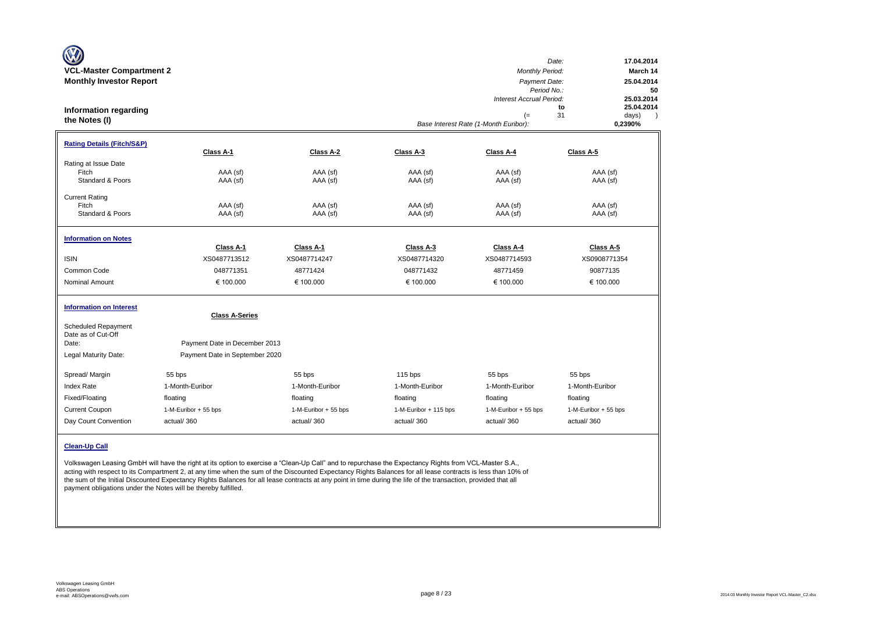| W<br><b>VCL-Master Compartment 2</b><br><b>Monthly Investor Report</b><br><b>Information regarding</b><br>the Notes (I) |                                                                                          |                      |                       | <b>Monthly Period:</b><br>Payment Date:<br>Period No.:<br>Interest Accrual Period:<br>$(=$<br>Base Interest Rate (1-Month Euribor): | Date:<br>17.04.2014<br>March 14<br>25.04.2014<br>50<br>25.03.2014<br>25.04.2014<br>to<br>31<br>days)<br>0,2390% |
|-------------------------------------------------------------------------------------------------------------------------|------------------------------------------------------------------------------------------|----------------------|-----------------------|-------------------------------------------------------------------------------------------------------------------------------------|-----------------------------------------------------------------------------------------------------------------|
| <b>Rating Details (Fitch/S&amp;P)</b>                                                                                   | Class A-1                                                                                | Class A-2            | Class A-3             | Class A-4                                                                                                                           | Class A-5                                                                                                       |
| Rating at Issue Date<br>Fitch<br>Standard & Poors                                                                       | AAA (sf)<br>AAA (sf)                                                                     | AAA (sf)<br>AAA (sf) | AAA (sf)<br>AAA (sf)  | AAA (sf)<br>AAA (sf)                                                                                                                | AAA (sf)<br>AAA (sf)                                                                                            |
| <b>Current Rating</b><br>Fitch<br>Standard & Poors                                                                      | AAA (sf)<br>AAA (sf)                                                                     | AAA (sf)<br>AAA (sf) | AAA (sf)<br>AAA (sf)  | AAA (sf)<br>AAA (sf)                                                                                                                | AAA (sf)<br>AAA (sf)                                                                                            |
| <b>Information on Notes</b>                                                                                             | Class A-1                                                                                | Class A-1            | Class A-3             | Class A-4                                                                                                                           | Class A-5                                                                                                       |
| <b>ISIN</b>                                                                                                             | XS0487713512                                                                             | XS0487714247         | XS0487714320          | XS0487714593                                                                                                                        | XS0908771354                                                                                                    |
| Common Code                                                                                                             | 048771351                                                                                | 48771424             | 048771432             | 48771459                                                                                                                            | 90877135                                                                                                        |
| <b>Nominal Amount</b>                                                                                                   | € 100.000                                                                                | € 100.000            | € 100.000             | € 100.000                                                                                                                           | € 100.000                                                                                                       |
| <b>Information on Interest</b><br><b>Scheduled Repayment</b><br>Date as of Cut-Off<br>Date:<br>Legal Maturity Date:     | <b>Class A-Series</b><br>Payment Date in December 2013<br>Payment Date in September 2020 |                      |                       |                                                                                                                                     |                                                                                                                 |
|                                                                                                                         |                                                                                          |                      |                       |                                                                                                                                     |                                                                                                                 |
| Spread/ Margin                                                                                                          | 55 bps                                                                                   | 55 bps               | $115$ bps             | 55 bps                                                                                                                              | 55 bps                                                                                                          |
| Index Rate                                                                                                              | 1-Month-Euribor                                                                          | 1-Month-Euribor      | 1-Month-Euribor       | 1-Month-Euribor                                                                                                                     | 1-Month-Euribor                                                                                                 |
| Fixed/Floating                                                                                                          | floating                                                                                 | floating             | floating              | floating                                                                                                                            | floating                                                                                                        |
| <b>Current Coupon</b>                                                                                                   | 1-M-Euribor + 55 bps                                                                     | 1-M-Euribor + 55 bps | 1-M-Euribor + 115 bps | 1-M-Euribor + 55 bps                                                                                                                | 1-M-Euribor + 55 bps                                                                                            |
| Day Count Convention                                                                                                    | actual/360                                                                               | actual/360           | actual/360            | actual/360                                                                                                                          | actual/360                                                                                                      |
| <b>Clean-Up Call</b>                                                                                                    |                                                                                          |                      |                       |                                                                                                                                     |                                                                                                                 |

Volkswagen Leasing GmbH will have the right at its option to exercise a "Clean-Up Call" and to repurchase the Expectancy Rights from VCL-Master S.A., acting with respect to its Compartment 2, at any time when the sum of the Discounted Expectancy Rights Balances for all lease contracts is less than 10% of the sum of the Initial Discounted Expectancy Rights Balances for all lease contracts at any point in time during the life of the transaction, provided that all payment obligations under the Notes will be thereby fulfilled.

 $\sim$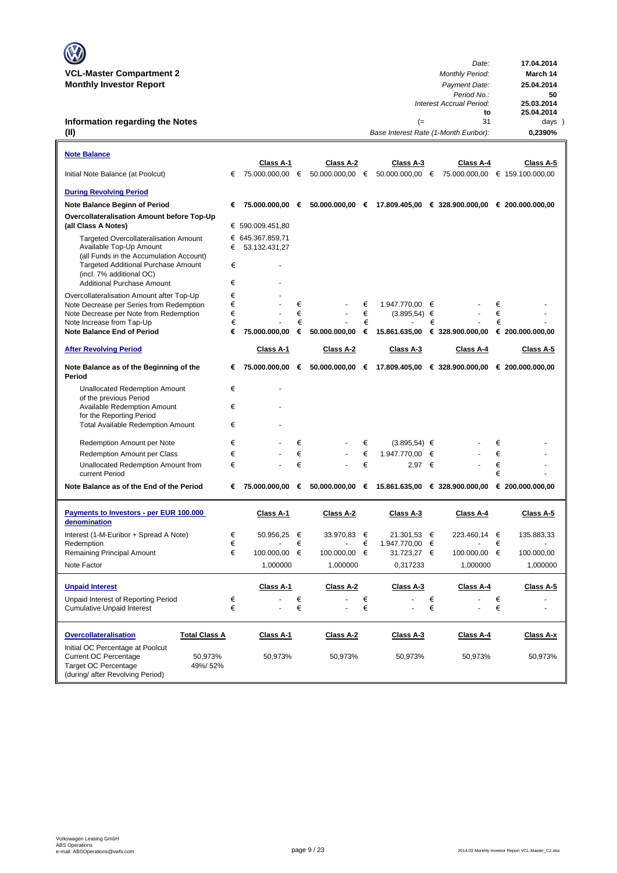| $\mathbb{C}$                    | Date:                  | 17.04.2014 |
|---------------------------------|------------------------|------------|
| <b>VCL-Master Compartment 2</b> | <b>Monthly Period:</b> | March 14   |
| <b>Monthly Investor Report</b>  | Payment Date:          | 25.04.2014 |

### **Information regarding the Notes (II)**

| <b>Note Balance</b>                                                                                                                                       |        |                  |        |                 |        |                          |        |                                                                   |        |                  |
|-----------------------------------------------------------------------------------------------------------------------------------------------------------|--------|------------------|--------|-----------------|--------|--------------------------|--------|-------------------------------------------------------------------|--------|------------------|
| Initial Note Balance (at Poolcut)                                                                                                                         | €      | Class A-1        |        | Class A-2       |        | Class A-3                |        | Class A-4                                                         |        | Class A-5        |
|                                                                                                                                                           |        |                  |        |                 |        |                          |        |                                                                   |        |                  |
| <b>During Revolving Period</b>                                                                                                                            |        |                  |        |                 |        |                          |        |                                                                   |        |                  |
| Note Balance Beginn of Period                                                                                                                             | €      | 75.000.000,00 €  |        |                 |        |                          |        | $50.000.000,00$ € 17.809.405,00 € 328.900.000,00 € 200.000.000,00 |        |                  |
| Overcollateralisation Amount before Top-Up<br>(all Class A Notes)                                                                                         |        | € 590.009.451,80 |        |                 |        |                          |        |                                                                   |        |                  |
| <b>Targeted Overcollateralisation Amount</b>                                                                                                              |        | € 645.367.859,71 |        |                 |        |                          |        |                                                                   |        |                  |
| Available Top-Up Amount                                                                                                                                   | €      | 53.132.431,27    |        |                 |        |                          |        |                                                                   |        |                  |
| (all Funds in the Accumulation Account)<br><b>Targeted Additional Purchase Amount</b>                                                                     | €      |                  |        |                 |        |                          |        |                                                                   |        |                  |
| (incl. 7% additional OC)                                                                                                                                  |        |                  |        |                 |        |                          |        |                                                                   |        |                  |
| <b>Additional Purchase Amount</b>                                                                                                                         | €      |                  |        |                 |        |                          |        |                                                                   |        |                  |
| Overcollateralisation Amount after Top-Up                                                                                                                 | €      |                  |        |                 |        |                          |        |                                                                   |        |                  |
| Note Decrease per Series from Redemption                                                                                                                  | €      |                  | €      |                 | €      | 1.947.770,00 €           |        |                                                                   | €      |                  |
| Note Decrease per Note from Redemption                                                                                                                    | €      |                  | €      |                 | €      | $(3.895, 54) \in$        |        |                                                                   | €      |                  |
| Note Increase from Tap-Up<br><b>Note Balance End of Period</b>                                                                                            | €<br>€ | 75.000.000,00    | €<br>€ | 50.000.000,00   | €<br>€ | 15.861.635,00            | €      | € 328.900.000,00                                                  | €      | € 200.000.000,00 |
|                                                                                                                                                           |        |                  |        |                 |        |                          |        |                                                                   |        |                  |
| <b>After Revolving Period</b>                                                                                                                             |        | Class A-1        |        | Class A-2       |        | Class A-3                |        | Class A-4                                                         |        | Class A-5        |
| Note Balance as of the Beginning of the<br>Period                                                                                                         | €      | 75.000.000,00 €  |        | 50.000.000,00 € |        |                          |        | 17.809.405,00 € 328.900.000,00 € 200.000.000,00                   |        |                  |
| <b>Unallocated Redemption Amount</b>                                                                                                                      | €      |                  |        |                 |        |                          |        |                                                                   |        |                  |
| of the previous Period                                                                                                                                    | €      |                  |        |                 |        |                          |        |                                                                   |        |                  |
| <b>Available Redemption Amount</b><br>for the Reporting Period                                                                                            |        |                  |        |                 |        |                          |        |                                                                   |        |                  |
| <b>Total Available Redemption Amount</b>                                                                                                                  | €      |                  |        |                 |        |                          |        |                                                                   |        |                  |
|                                                                                                                                                           |        |                  |        |                 |        |                          |        |                                                                   |        |                  |
| Redemption Amount per Note                                                                                                                                | €<br>€ |                  | €<br>€ |                 | €<br>€ | $(3.895,54) \in$         |        |                                                                   | €<br>€ |                  |
| Redemption Amount per Class                                                                                                                               | €      |                  | €      |                 | €      | 1.947.770,00<br>2.97 $∈$ | €      |                                                                   | €      |                  |
| Unallocated Redemption Amount from<br>current Period                                                                                                      |        |                  |        |                 |        |                          |        |                                                                   | €      |                  |
| Note Balance as of the End of the Period                                                                                                                  | €      | 75.000.000,00 €  |        |                 |        |                          |        | 50.000.000,00 € 15.861.635,00 € 328.900.000,00 € 200.000.000,00   |        |                  |
| Payments to Investors - per EUR 100.000<br>denomination                                                                                                   |        | Class A-1        |        | Class A-2       |        | Class A-3                |        | Class A-4                                                         |        | Class A-5        |
| Interest (1-M-Euribor + Spread A Note)                                                                                                                    | €      | 50.956,25        | €      | 33.970,83       | €      | 21.301,53 €              |        | 223.460,14 €                                                      |        | 135.883,33       |
| Redemption                                                                                                                                                | €      |                  | €      |                 | €      | 1.947.770,00             | €      |                                                                   | €      |                  |
| Remaining Principal Amount                                                                                                                                | €      | 100.000,00       | €      | 100.000,00      | €      | 31.723,27 €              |        | 100.000,00 €                                                      |        | 100.000,00       |
| Note Factor                                                                                                                                               |        | 1,000000         |        | 1,000000        |        | 0,317233                 |        | 1,000000                                                          |        | 1,000000         |
|                                                                                                                                                           |        |                  |        |                 |        |                          |        |                                                                   |        |                  |
| <b>Unpaid Interest</b>                                                                                                                                    |        | Class A-1        |        | Class A-2       |        | Class A-3                |        | Class A-4                                                         |        | Class A-5        |
| Unpaid Interest of Reporting Period                                                                                                                       | €<br>€ |                  | €<br>€ |                 | €<br>€ |                          | €<br>€ |                                                                   | €<br>€ | ä,               |
| <b>Cumulative Unpaid Interest</b>                                                                                                                         |        |                  |        |                 |        |                          |        |                                                                   |        |                  |
| <b>Overcollateralisation</b><br><b>Total Class A</b>                                                                                                      |        | Class A-1        |        | Class A-2       |        | Class A-3                |        | Class A-4                                                         |        | Class A-x        |
| Initial OC Percentage at Poolcut<br><b>Current OC Percentage</b><br>50,973%<br><b>Target OC Percentage</b><br>49%/52%<br>(during/ after Revolving Period) |        | 50,973%          |        | 50,973%         |        | 50,973%                  |        | 50,973%                                                           |        | 50,973%          |

**to 25.04.2014**<br> **25.03.2014**<br> **to 25.04.2014**<br> **31 days** 

*Period No.:* **50**

(= 31 days)<br>Rate (1-Month Euribor): **0,2390%** 

*Interest Accrual Period:* **25.03.2014**

*Base Interest Rate (1-Month Euribor):* **0,2390%**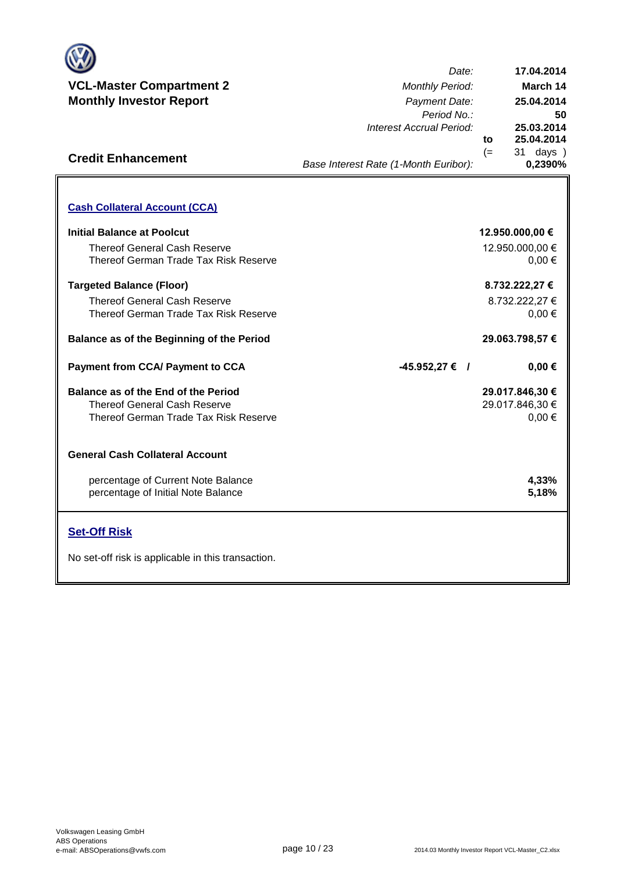

**Credit Enhancement**

*Date: Period No.: Interest Accrual Period:* **to** (= 31 days ) **25.03.2014 25.04.2014 17.04.2014 25.04.2014 March 14**

**50**

**0,2390%**

*Base Interest Rate (1-Month Euribor):*

| <b>Cash Collateral Account (CCA)</b>                                                                                |                                                  |
|---------------------------------------------------------------------------------------------------------------------|--------------------------------------------------|
| Initial Balance at Poolcut<br><b>Thereof General Cash Reserve</b>                                                   | 12.950.000,00 €<br>12.950.000,00 €               |
| Thereof German Trade Tax Risk Reserve<br><b>Targeted Balance (Floor)</b>                                            | $0.00 \in$<br>8.732.222,27 €                     |
| <b>Thereof General Cash Reserve</b><br>Thereof German Trade Tax Risk Reserve                                        | 8.732.222,27 €<br>$0.00 \in$                     |
| Balance as of the Beginning of the Period                                                                           | 29.063.798,57 €                                  |
| <b>Payment from CCA/ Payment to CCA</b>                                                                             | $-45.952,27 \in$ /<br>$0,00 \in$                 |
|                                                                                                                     |                                                  |
| Balance as of the End of the Period<br><b>Thereof General Cash Reserve</b><br>Thereof German Trade Tax Risk Reserve | 29.017.846,30 €<br>29.017.846,30 €<br>$0,00 \in$ |
| <b>General Cash Collateral Account</b>                                                                              |                                                  |
| percentage of Current Note Balance<br>percentage of Initial Note Balance                                            | 4,33%<br>5,18%                                   |
| <b>Set-Off Risk</b>                                                                                                 |                                                  |

**. . . .** Trigger Level 1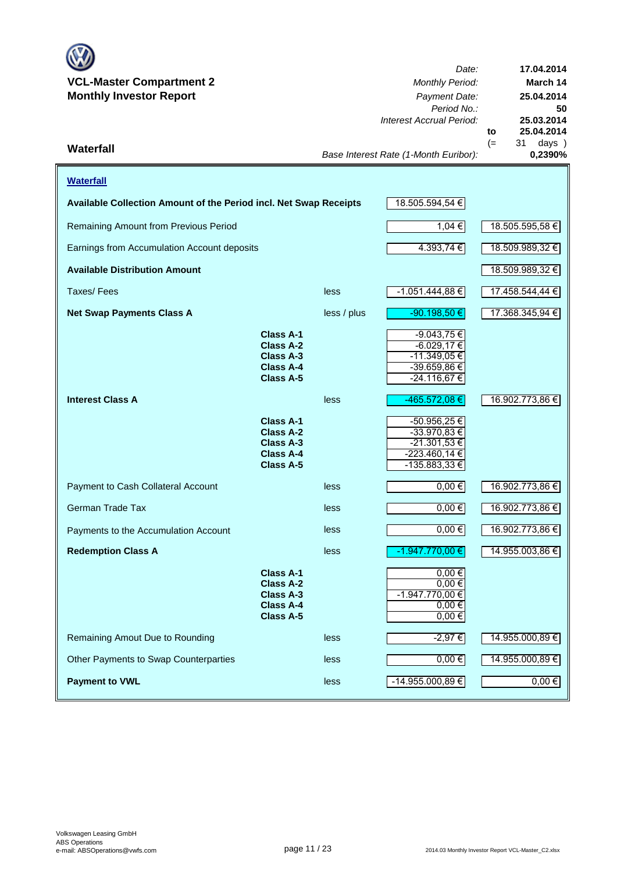

*Date: Period No.: Interest Accrual Period:* **to**  $(= 31 \text{ days})$ <br> $0,2390\%$ *Base Interest Rate (1-Month Euribor):* **Waterfall 0,2390% 25.04.2014 17.04.2014 March 14 25.04.2014 50 25.03.2014**

| <b>Waterfall</b>                                                  |                                                                                                  |                 |                                                                                   |                 |  |  |  |  |  |
|-------------------------------------------------------------------|--------------------------------------------------------------------------------------------------|-----------------|-----------------------------------------------------------------------------------|-----------------|--|--|--|--|--|
| Available Collection Amount of the Period incl. Net Swap Receipts |                                                                                                  |                 | 18.505.594,54 €                                                                   |                 |  |  |  |  |  |
| Remaining Amount from Previous Period                             | 1,04 €                                                                                           | 18.505.595,58 € |                                                                                   |                 |  |  |  |  |  |
| Earnings from Accumulation Account deposits                       | 4.393,74 €                                                                                       | 18.509.989,32 € |                                                                                   |                 |  |  |  |  |  |
| <b>Available Distribution Amount</b>                              |                                                                                                  |                 |                                                                                   | 18.509.989,32 € |  |  |  |  |  |
| Taxes/Fees                                                        |                                                                                                  | less            | $-1.051.444,88 \in$                                                               | 17.458.544,44 € |  |  |  |  |  |
| <b>Net Swap Payments Class A</b>                                  |                                                                                                  | less / plus     | $-90.198,50€$                                                                     | 17.368.345,94 € |  |  |  |  |  |
|                                                                   | <b>Class A-1</b><br><b>Class A-2</b><br><b>Class A-3</b><br>Class A-4<br><b>Class A-5</b>        |                 | -9.043,75 €<br>$-6.029,17€$<br>-11.349,05 €<br>-39.659,86 €<br>$-24.116,67€$      |                 |  |  |  |  |  |
| <b>Interest Class A</b>                                           |                                                                                                  | less            | -465.572,08 €                                                                     | 16.902.773,86 € |  |  |  |  |  |
|                                                                   | <b>Class A-1</b><br><b>Class A-2</b><br><b>Class A-3</b><br>Class A-4<br><b>Class A-5</b>        |                 | -50.956,25€<br>-33.970,83 €<br>-21.301,53 €<br>$-223.460,14 \in$<br>-135.883,33 € |                 |  |  |  |  |  |
| Payment to Cash Collateral Account                                |                                                                                                  | less            | $0,00 \in$                                                                        | 16.902.773,86 € |  |  |  |  |  |
| <b>German Trade Tax</b>                                           |                                                                                                  | less            | $0,00 \in$                                                                        | 16.902.773,86 € |  |  |  |  |  |
| Payments to the Accumulation Account                              |                                                                                                  | less            | $0,00 \in$                                                                        | 16.902.773,86 € |  |  |  |  |  |
| <b>Redemption Class A</b>                                         |                                                                                                  | less            | -1.947.770,00 €                                                                   | 14.955.003,86 € |  |  |  |  |  |
|                                                                   | <b>Class A-1</b><br><b>Class A-2</b><br><b>Class A-3</b><br><b>Class A-4</b><br><b>Class A-5</b> |                 | $0,00 \in$<br>$0,00$ €<br>$-1.947.770,00€$<br>$0,00 \in$<br>$0,00 \in$            |                 |  |  |  |  |  |
| Remaining Amout Due to Rounding                                   |                                                                                                  | less            | $-2,97€$                                                                          | 14.955.000,89 € |  |  |  |  |  |
| Other Payments to Swap Counterparties                             |                                                                                                  | less            | $0,00 \in$                                                                        | 14.955.000,89 € |  |  |  |  |  |
| <b>Payment to VWL</b>                                             |                                                                                                  | less            | $-14.955.000,89 \in$                                                              | $0,00 \in$      |  |  |  |  |  |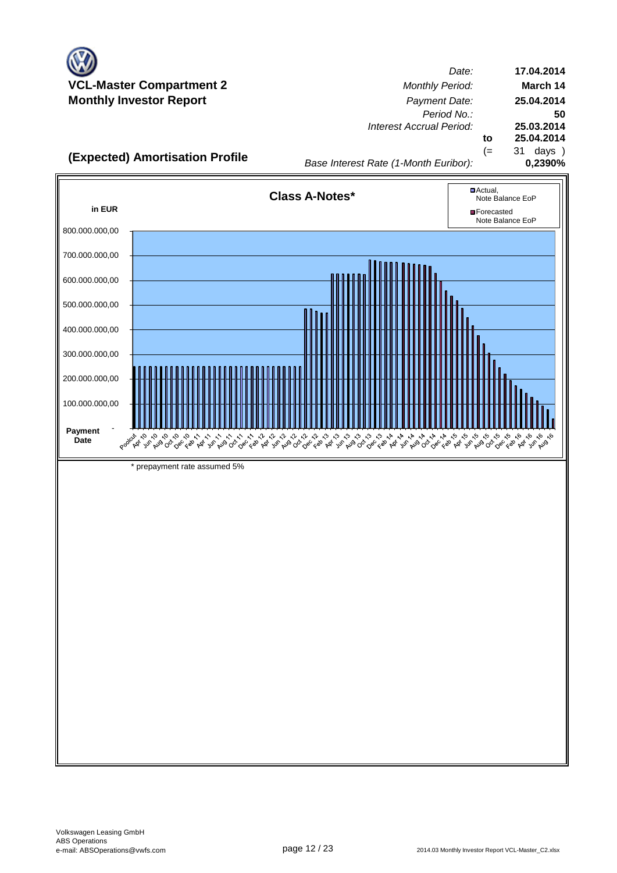

*Date: Period No.: Interest Accrual Period:* **to** (= 31 days ) **17.04.2014 March 14 25.04.2014 50 25.03.2014 25.04.2014**

**(Expected) Amortisation Profile**<br>0,2390% **0,2390%** *Base Interest Rate (1-Month Euribor)*:

*Base Interest Rate (1-Month Euribor):*

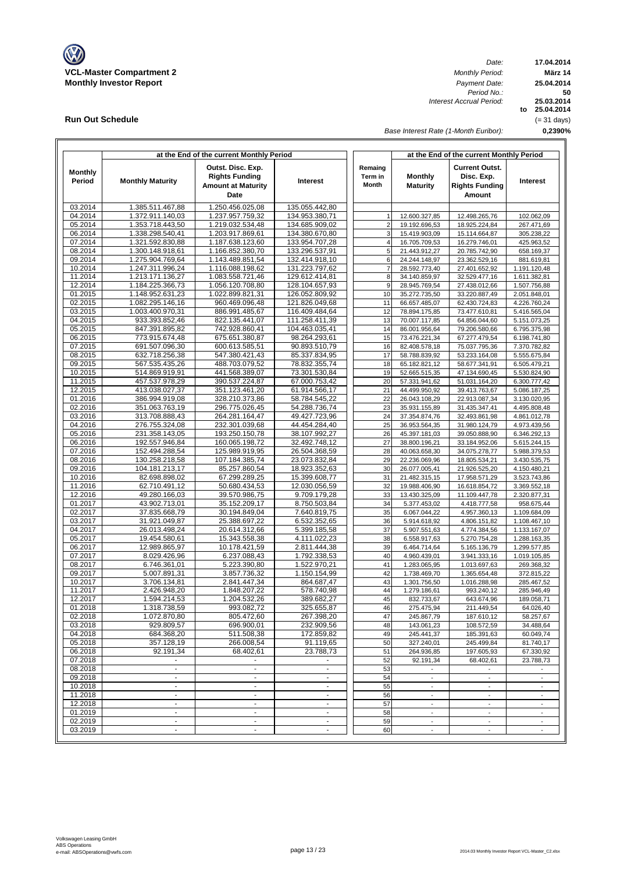

**Run Out Schedule**

*Date: Period No.: Interest Accrual Period:*

**17.04.2014 März 14 to 25.04.2014 25.03.2014 0,2390% 50 25.04.2014** (= 31 days)

*Base Interest Rate (1-Month Euribor):*

| at the End of the current Monthly Period |                                      |                                                                                 |                                  |                                    | at the End of the current Monthly Period |                                                                        |                              |  |  |  |
|------------------------------------------|--------------------------------------|---------------------------------------------------------------------------------|----------------------------------|------------------------------------|------------------------------------------|------------------------------------------------------------------------|------------------------------|--|--|--|
| <b>Monthly</b><br>Period                 | <b>Monthly Maturity</b>              | Outst. Disc. Exp.<br><b>Rights Funding</b><br><b>Amount at Maturity</b><br>Date | <b>Interest</b>                  | Remaing<br>Term in<br><b>Month</b> | <b>Monthly</b><br><b>Maturity</b>        | <b>Current Outst.</b><br>Disc. Exp.<br><b>Rights Funding</b><br>Amount | Interest                     |  |  |  |
| 03.2014                                  | 1.385.511.467.88                     | 1.250.456.025,08                                                                | 135.055.442,80                   |                                    |                                          |                                                                        |                              |  |  |  |
| 04.2014                                  | 1.372.911.140,03                     | 1.237.957.759,32                                                                | 134.953.380,71                   | $\mathbf{1}$                       | 12.600.327,85                            | 12.498.265,76                                                          | 102.062.09                   |  |  |  |
| 05.2014                                  | 1.353.718.443,50                     | 1.219.032.534,48                                                                | 134.685.909,02                   | $\overline{2}$                     | 19.192.696,53                            | 18.925.224,84                                                          | 267.471,69                   |  |  |  |
| 06.2014<br>07.2014                       | 1.338.298.540,41<br>1.321.592.830,88 | 1.203.917.869,61<br>1.187.638.123,60                                            | 134.380.670,80<br>133.954.707,28 | 3<br>$\overline{4}$                | 15.419.903,09                            | 15.114.664,87<br>16.279.746,01                                         | 305.238,22                   |  |  |  |
| 08.2014                                  | 1.300.148.918,61                     | 1.166.852.380,70                                                                | 133.296.537,91                   | 5                                  | 16.705.709,53<br>21.443.912,27           | 20.785.742,90                                                          | 425.963,52<br>658.169,37     |  |  |  |
| 09.2014                                  | 1.275.904.769.64                     | 1.143.489.851,54                                                                | 132.414.918,10                   | 6                                  | 24.244.148.97                            | 23.362.529,16                                                          | 881.619,81                   |  |  |  |
| 10.2014                                  | 1.247.311.996,24                     | 1.116.088.198,62                                                                | 131.223.797,62                   | $\overline{7}$                     | 28.592.773,40                            | 27.401.652,92                                                          | 1.191.120,48                 |  |  |  |
| 11.2014                                  | 1.213.171.136,27                     | 1.083.558.721,46                                                                | 129.612.414,81                   | 8                                  | 34.140.859,97                            | 32.529.477,16                                                          | 1.611.382,81                 |  |  |  |
| 12.2014                                  | 1.184.225.366,73                     | 1.056.120.708,80                                                                | 128.104.657,93                   | 9                                  | 28.945.769,54                            | 27.438.012,66                                                          | 1.507.756,88                 |  |  |  |
| 01.2015                                  | 1.148.952.631,23                     | 1.022.899.821,31                                                                | 126.052.809,92                   | 10                                 | 35.272.735,50                            | 33.220.887,49                                                          | 2.051.848,01                 |  |  |  |
| 02.2015                                  | 1.082.295.146,16                     | 960.469.096,48                                                                  | 121.826.049,68<br>116.409.484,64 | 11<br>12                           | 66.657.485,07                            | 62.430.724,83                                                          | 4.226.760,24                 |  |  |  |
| 03.2015<br>04.2015                       | 1.003.400.970,31<br>933.393.852,46   | 886.991.485,67<br>822.135.441,07                                                | 111.258.411,39                   | 13                                 | 78.894.175,85<br>70.007.117,85           | 73.477.610,81<br>64.856.044,60                                         | 5.416.565,04<br>5.151.073,25 |  |  |  |
| 05.2015                                  | 847.391.895,82                       | 742.928.860,41                                                                  | 104.463.035,41                   | 14                                 | 86.001.956,64                            | 79.206.580,66                                                          | 6.795.375,98                 |  |  |  |
| 06.2015                                  | 773.915.674,48                       | 675.651.380,87                                                                  | 98.264.293,61                    | 15                                 | 73.476.221,34                            | 67.277.479,54                                                          | 6.198.741,80                 |  |  |  |
| 07.2015                                  | 691.507.096,30                       | 600.613.585,51                                                                  | 90.893.510,79                    | 16                                 | 82.408.578,18                            | 75.037.795,36                                                          | 7.370.782,82                 |  |  |  |
| 08.2015                                  | 632.718.256,38                       | 547.380.421,43                                                                  | 85.337.834,95                    | 17                                 | 58.788.839,92                            | 53.233.164,08                                                          | 5.555.675,84                 |  |  |  |
| 09.2015                                  | 567.535.435,26                       | 488.703.079,52                                                                  | 78.832.355,74                    | 18                                 | 65.182.821,12                            | 58.677.341,91                                                          | 6.505.479,21                 |  |  |  |
| 10.2015<br>11.2015                       | 514.869.919,91<br>457.537.978,29     | 441.568.389,07<br>390.537.224,87                                                | 73.301.530,84<br>67.000.753,42   | 19<br>20                           | 52.665.515,35<br>57.331.941,62           | 47.134.690,45<br>51.031.164,20                                         | 5.530.824,90<br>6.300.777,42 |  |  |  |
| 12.2015                                  | 413.038.027,37                       | 351.123.461,20                                                                  | 61.914.566,17                    | 21                                 | 44.499.950.92                            | 39.413.763,67                                                          | 5.086.187,25                 |  |  |  |
| 01.2016                                  | 386.994.919,08                       | 328.210.373,86                                                                  | 58.784.545,22                    | 22                                 | 26.043.108,29                            | 22.913.087,34                                                          | 3.130.020,95                 |  |  |  |
| 02.2016                                  | 351.063.763,19                       | 296.775.026,45                                                                  | 54.288.736,74                    | 23                                 | 35.931.155,89                            | 31.435.347,41                                                          | 4.495.808.48                 |  |  |  |
| 03.2016                                  | 313.708.888,43                       | 264.281.164,47                                                                  | 49.427.723,96                    | 24                                 | 37.354.874,76                            | 32.493.861,98                                                          | 4.861.012,78                 |  |  |  |
| 04.2016                                  | 276.755.324,08                       | 232.301.039,68                                                                  | 44.454.284,40                    | 25                                 | 36.953.564,35                            | 31.980.124,79                                                          | 4.973.439,56                 |  |  |  |
| 05.2016                                  | 231.358.143,05                       | 193.250.150,78                                                                  | 38.107.992,27                    | 26                                 | 45.397.181,03                            | 39.050.888,90                                                          | 6.346.292,13                 |  |  |  |
| 06.2016<br>07.2016                       | 192.557.946,84<br>152.494.288,54     | 160.065.198,72                                                                  | 32.492.748,12                    | 27<br>28                           | 38.800.196,21                            | 33.184.952,06                                                          | 5.615.244,15                 |  |  |  |
| 08.2016                                  | 130.258.218,58                       | 125.989.919,95<br>107.184.385,74                                                | 26.504.368,59<br>23.073.832,84   | 29                                 | 40.063.658,30<br>22.236.069,96           | 34.075.278,77<br>18.805.534,21                                         | 5.988.379,53<br>3.430.535,75 |  |  |  |
| 09.2016                                  | 104.181.213,17                       | 85.257.860,54                                                                   | 18.923.352,63                    | 30                                 | 26.077.005,41                            | 21.926.525,20                                                          | 4.150.480,21                 |  |  |  |
| 10.2016                                  | 82.698.898,02                        | 67.299.289,25                                                                   | 15.399.608,77                    | 31                                 | 21.482.315,15                            | 17.958.571,29                                                          | 3.523.743,86                 |  |  |  |
| 11.2016                                  | 62.710.491,12                        | 50.680.434,53                                                                   | 12.030.056,59                    | 32                                 | 19.988.406,90                            | 16.618.854,72                                                          | 3.369.552,18                 |  |  |  |
| 12.2016                                  | 49.280.166,03                        | 39.570.986,75                                                                   | 9.709.179,28                     | 33                                 | 13.430.325,09                            | 11.109.447,78                                                          | 2.320.877,31                 |  |  |  |
| 01.2017                                  | 43.902.713,01                        | 35.152.209,17                                                                   | 8.750.503,84                     | 34                                 | 5.377.453,02                             | 4.418.777,58                                                           | 958.675,44                   |  |  |  |
| 02.2017<br>03.2017                       | 37.835.668,79<br>31.921.049,87       | 30.194.849,04                                                                   | 7.640.819,75                     | 35                                 | 6.067.044,22                             | 4.957.360,13                                                           | 1.109.684,09                 |  |  |  |
| 04.2017                                  | 26.013.498,24                        | 25.388.697,22<br>20.614.312,66                                                  | 6.532.352,65<br>5.399.185,58     | 36<br>37                           | 5.914.618,92<br>5.907.551,63             | 4.806.151,82<br>4.774.384,56                                           | 1.108.467,10<br>1.133.167,07 |  |  |  |
| 05.2017                                  | 19.454.580,61                        | 15.343.558,38                                                                   | 4.111.022,23                     | 38                                 | 6.558.917,63                             | 5.270.754,28                                                           | 1.288.163,35                 |  |  |  |
| 06.2017                                  | 12.989.865,97                        | 10.178.421,59                                                                   | 2.811.444,38                     | 39                                 | 6.464.714,64                             | 5.165.136,79                                                           | 1.299.577,85                 |  |  |  |
| 07.2017                                  | 8.029.426,96                         | 6.237.088,43                                                                    | 1.792.338,53                     | 40                                 | 4.960.439,01                             | 3.941.333,16                                                           | 1.019.105,85                 |  |  |  |
| 08.2017                                  | 6.746.361,01                         | 5.223.390,80                                                                    | 1.522.970,21                     | 41                                 | 1.283.065,95                             | 1.013.697,63                                                           | 269.368,32                   |  |  |  |
| 09.2017                                  | 5.007.891,31                         | 3.857.736,32                                                                    | 1.150.154,99                     | 42                                 | 1.738.469,70                             | 1.365.654,48                                                           | 372.815,22                   |  |  |  |
| 10.2017<br>11.2017                       | 3.706.134,81                         | 2.841.447,34                                                                    | 864.687,47                       | 43<br>44                           | 1.301.756,50                             | 1.016.288,98                                                           | 285.467,52                   |  |  |  |
| 12.2017                                  | 2.426.948,20<br>1.594.214,53         | 1.848.207,22<br>1.204.532,26                                                    | 578.740,98<br>389.682,27         | 45                                 | 1.279.186,61<br>832.733,67               | 993.240,12<br>643.674,96                                               | 285.946,49<br>189.058,71     |  |  |  |
| 01.2018                                  | 1.318.738,59                         | 993.082,72                                                                      | 325.655,87                       | 46                                 | 275.475,94                               | 211.449,54                                                             | 64.026,40                    |  |  |  |
| 02.2018                                  | 1.072.870,80                         | 805.472,60                                                                      | 267.398,20                       | 47                                 | 245.867,79                               | 187.610,12                                                             | 58.257,67                    |  |  |  |
| 03.2018                                  | 929.809,57                           | 696.900,01                                                                      | 232.909,56                       | 48                                 | 143.061,23                               | 108.572,59                                                             | 34.488,64                    |  |  |  |
| 04.2018                                  | 684.368,20                           | 511.508,38                                                                      | 172.859,82                       | 49                                 | 245.441,37                               | 185.391,63                                                             | 60.049,74                    |  |  |  |
| 05.2018                                  | 357.128,19                           | 266.008,54                                                                      | 91.119,65                        | 50                                 | 327.240,01                               | 245.499,84                                                             | 81.740,17                    |  |  |  |
| 06.2018                                  | 92.191.34                            | 68.402,61                                                                       | 23.788,73                        | 51                                 | 264.936,85                               | 197.605,93                                                             | 67.330,92                    |  |  |  |
| 07.2018<br>08.2018                       | $\blacksquare$<br>$\blacksquare$     | $\blacksquare$<br>$\blacksquare$                                                | $\overline{\phantom{a}}$         | 52<br>53                           | 92.191,34                                | 68.402,61                                                              | 23.788,73                    |  |  |  |
| 09.2018                                  | $\blacksquare$                       | $\sim$                                                                          | $\sim$                           | 54                                 | $\overline{\phantom{a}}$                 | $\blacksquare$                                                         | $\overline{\phantom{a}}$     |  |  |  |
| 10.2018                                  | $\blacksquare$                       | $\blacksquare$                                                                  | $\blacksquare$                   | 55                                 | $\overline{\phantom{a}}$                 | $\overline{\phantom{a}}$                                               | $\overline{\phantom{a}}$     |  |  |  |
| 11.2018                                  | ä,                                   | $\blacksquare$                                                                  | $\blacksquare$                   | 56                                 | $\blacksquare$                           | $\blacksquare$                                                         |                              |  |  |  |
| 12.2018                                  | $\blacksquare$                       | $\blacksquare$                                                                  | $\blacksquare$                   | 57                                 | $\overline{\phantom{a}}$                 | $\overline{\phantom{a}}$                                               | $\overline{\phantom{a}}$     |  |  |  |
| 01.2019                                  | $\blacksquare$                       | $\blacksquare$                                                                  | $\blacksquare$                   | 58                                 | $\overline{\phantom{a}}$                 | $\blacksquare$                                                         | $\overline{\phantom{a}}$     |  |  |  |
| 02.2019                                  | ٠                                    | $\blacksquare$                                                                  | $\blacksquare$                   | 59                                 | $\overline{\phantom{a}}$                 | $\blacksquare$                                                         | $\overline{\phantom{a}}$     |  |  |  |
| 03.2019                                  | ٠                                    | $\blacksquare$                                                                  |                                  | 60                                 | $\overline{\phantom{a}}$                 | $\blacksquare$                                                         | $\overline{\phantom{a}}$     |  |  |  |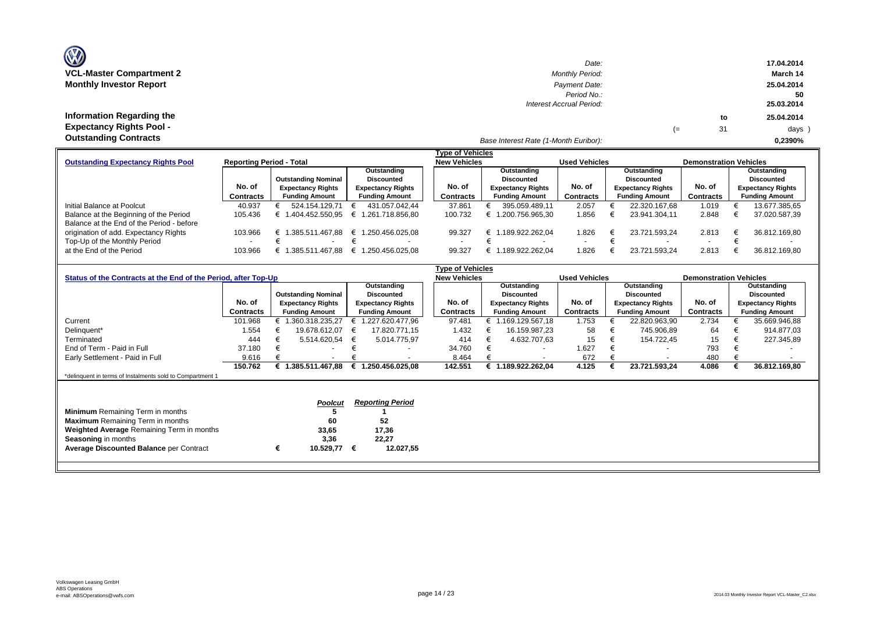| <b>OZ</b>                       |
|---------------------------------|
| <b>VCL-Master Compartment 2</b> |
| <b>Monthly Investor Report</b>  |

**Information Regarding the Expectancy Rights Pool -** 

| $\mathbf{w}$                    | Date:                    |    |    | 17.04.2014 |
|---------------------------------|--------------------------|----|----|------------|
| <b>VCL-Master Compartment 2</b> | <b>Monthly Period:</b>   |    |    | March 14   |
| <b>Monthly Investor Report</b>  | Payment Date:            |    |    | 25.04.2014 |
|                                 | Period No.:              |    |    | 50         |
|                                 | Interest Accrual Period: |    |    | 25.03.2014 |
| Information Regarding the       |                          |    | to | 25.04.2014 |
| <b>Expectancy Rights Pool -</b> |                          | (≕ | 31 | days )     |
| Autotonalism Anntuonto          |                          |    |    |            |

#### *Base Interest Rate (1-Month Euribor):* **Outstanding Contracts 0,2390%**

|                                           |                                 |                            |                          | <b>Type of Vehicles</b> |                          |                      |                          |                               |                          |  |
|-------------------------------------------|---------------------------------|----------------------------|--------------------------|-------------------------|--------------------------|----------------------|--------------------------|-------------------------------|--------------------------|--|
| <b>Outstanding Expectancy Rights Pool</b> | <b>Reporting Period - Total</b> |                            |                          | <b>New Vehicles</b>     |                          | <b>Used Vehicles</b> |                          | <b>Demonstration Vehicles</b> |                          |  |
|                                           |                                 |                            | Outstanding              |                         | Outstanding              |                      | Outstanding              |                               | Outstanding              |  |
|                                           |                                 | <b>Outstanding Nominal</b> | <b>Discounted</b>        |                         | Discounted               |                      | <b>Discounted</b>        |                               | Discounted               |  |
|                                           | No. of                          | <b>Expectancy Rights</b>   | <b>Expectancy Rights</b> | No. of                  | <b>Expectancy Rights</b> | No. of               | <b>Expectancy Rights</b> | No. of                        | <b>Expectancy Rights</b> |  |
|                                           | <b>Contracts</b>                | <b>Funding Amount</b>      | <b>Funding Amount</b>    | Contracts               | <b>Funding Amount</b>    | Contracts            | <b>Funding Amount</b>    | <b>Contracts</b>              | <b>Funding Amount</b>    |  |
| Initial Balance at Poolcut                | 40.937                          | 524.154.129.71             | 431.057.042.44           | 37.861                  | 395.059.489.11           | 2.057                | 22.320.167.68            | 1.019                         | 13.677.385,65            |  |
| Balance at the Beginning of the Period    | 105.436                         | .404.452.550.95            | € 1.261.718.856.80       | 100.732                 | 1.200.756.965.30         | 1.856                | 23.941.304.11            | 2.848                         | 37.020.587,39            |  |
| Balance at the End of the Period - before |                                 |                            |                          |                         |                          |                      |                          |                               |                          |  |
| origination of add. Expectancy Rights     | 103.966                         | 385.511.467.88<br>€        | € 1.250.456.025.08       | 99.327                  | .189.922.262.04          | .826                 | 23.721.593.24            | 2.813                         | 36.812.169.80            |  |
| Top-Up of the Monthly Period              | $\overline{\phantom{0}}$        |                            | $\overline{\phantom{a}}$ |                         |                          |                      |                          | $\overline{\phantom{0}}$      |                          |  |
| at the End of the Period                  | 103.966                         | .385.511.467.88            | € 1.250.456.025.08       | 99.327                  | .189.922.262.04          | .826                 | 23.721.593.24            | 2.813                         | 36.812.169.80            |  |

|                                                                |                  |   |                            | <b>Type of Vehicles</b> |                          |  |                     |                          |                      |                          |                          |                               |                   |                          |
|----------------------------------------------------------------|------------------|---|----------------------------|-------------------------|--------------------------|--|---------------------|--------------------------|----------------------|--------------------------|--------------------------|-------------------------------|-------------------|--------------------------|
| Status of the Contracts at the End of the Period, after Top-Up |                  |   |                            |                         |                          |  | <b>New Vehicles</b> |                          | <b>Used Vehicles</b> |                          |                          | <b>Demonstration Vehicles</b> |                   |                          |
|                                                                |                  |   |                            |                         | Outstanding              |  |                     | Outstanding              |                      | Outstanding              |                          |                               |                   | Outstanding              |
|                                                                |                  |   | <b>Outstanding Nominal</b> |                         | <b>Discounted</b>        |  |                     | Discounted               |                      | <b>Discounted</b>        |                          |                               | <b>Discounted</b> |                          |
|                                                                | No. of           |   | <b>Expectancy Rights</b>   |                         | <b>Expectancy Rights</b> |  | No. of              | <b>Expectancy Rights</b> | No. of               | <b>Expectancy Rights</b> |                          | No. of                        |                   | <b>Expectancy Rights</b> |
|                                                                | <b>Contracts</b> |   | <b>Funding Amount</b>      |                         | <b>Funding Amount</b>    |  | Contracts           | <b>Funding Amount</b>    | <b>Contracts</b>     | <b>Funding Amount</b>    |                          | Contracts                     |                   | <b>Funding Amount</b>    |
| Current                                                        | 101.968          |   | € 1.360.318.235,27         |                         | 1.227.620.477,96         |  | 97.481              | 169.129.567,18           | 1.753                |                          | 22.820.963,90            | 2.734                         |                   | 35.669.946,88            |
| Delinquent*                                                    | 1.554            |   | 19.678.612.07              | €                       | 17.820.771,15            |  | 1.432               | 16.159.987,23            | 58                   |                          | 745.906,89               | 64                            |                   | 914.877,03               |
| Terminated                                                     | 444              |   | 5.514.620,54               | €                       | 5.014.775,97             |  | 414                 | 4.632.707,63             | 15                   |                          | 154.722,45               | 15                            |                   | 227.345,89               |
| End of Term - Paid in Full                                     | 37.180           |   |                            |                         |                          |  | 34.760              | $\overline{\phantom{a}}$ | 1.627                |                          | $\overline{\phantom{0}}$ | 793                           |                   |                          |
| Early Settlement - Paid in Full                                | 9.616            |   |                            |                         |                          |  | 8.464               |                          | 672                  |                          | $\overline{\phantom{a}}$ | 480                           |                   |                          |
|                                                                | 150.762          |   | € 1.385.511.467,88         | €                       | 1.250.456.025,08         |  | 142.551             | € 1.189.922.262,04       | 4.125                |                          | 23.721.593,24            | 4.086                         |                   | 36.812.169,80            |
| *delinquent in terms of Instalments sold to Compartment 1      |                  |   |                            |                         |                          |  |                     |                          |                      |                          |                          |                               |                   |                          |
|                                                                |                  |   |                            |                         |                          |  |                     |                          |                      |                          |                          |                               |                   |                          |
|                                                                |                  |   | <b>Poolcut</b>             |                         | <b>Reporting Period</b>  |  |                     |                          |                      |                          |                          |                               |                   |                          |
|                                                                |                  |   |                            |                         |                          |  |                     |                          |                      |                          |                          |                               |                   |                          |
| <b>Minimum</b> Remaining Term in months                        |                  |   |                            |                         |                          |  |                     |                          |                      |                          |                          |                               |                   |                          |
| <b>Maximum</b> Remaining Term in months                        |                  |   | 60                         |                         | 52                       |  |                     |                          |                      |                          |                          |                               |                   |                          |
| Weighted Average Remaining Term in months                      |                  |   | 33,65                      |                         | 17,36                    |  |                     |                          |                      |                          |                          |                               |                   |                          |
| <b>Seasoning in months</b>                                     |                  |   | 3,36                       |                         | 22,27                    |  |                     |                          |                      |                          |                          |                               |                   |                          |
| <b>Average Discounted Balance per Contract</b>                 |                  | € | 10.529,77                  | €                       | 12.027,55                |  |                     |                          |                      |                          |                          |                               |                   |                          |
|                                                                |                  |   |                            |                         |                          |  |                     |                          |                      |                          |                          |                               |                   |                          |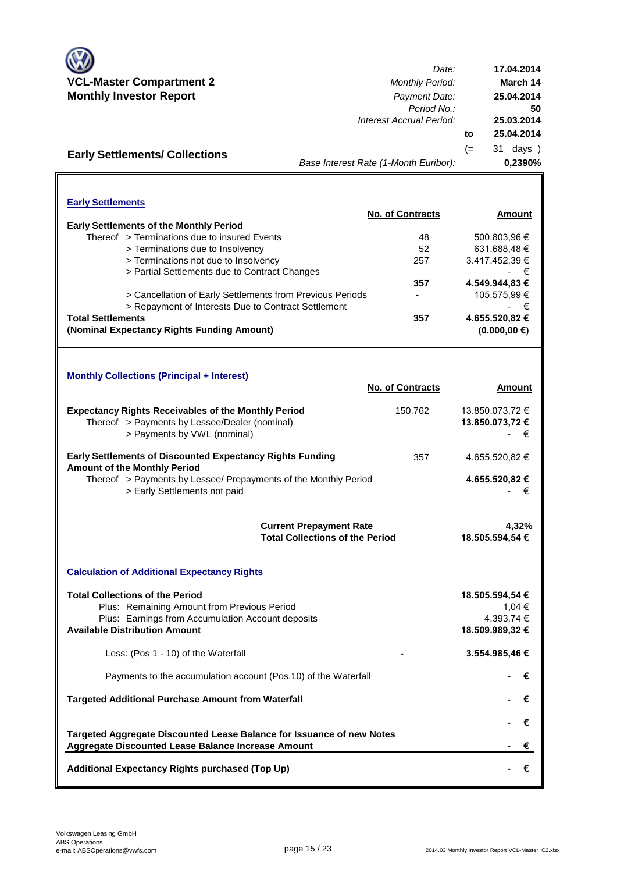

**Early Settlements/ Collections**

*Date:* **VCL-Master Compartment 2** *Monthly Period:* **Monthly Investor Report** *Payment Date: Period No.: Interest Accrual Period:* **to** (= 31 days ) *Base Interest Rate (1-Month Euribor):* **17.04.2014 March 14 25.04.2014 25.04.2014 50 25.03.2014 0,2390%**

| <b>Early Settlements</b>                                  |                         |                   |
|-----------------------------------------------------------|-------------------------|-------------------|
|                                                           | <b>No. of Contracts</b> | Amount            |
| <b>Early Settlements of the Monthly Period</b>            |                         |                   |
| Thereof > Terminations due to insured Events              | 48                      | 500.803,96 €      |
| > Terminations due to Insolvency                          | 52                      | 631.688,48€       |
| > Terminations not due to Insolvency                      | 257                     | 3.417.452.39 €    |
| > Partial Settlements due to Contract Changes             |                         | ۰.                |
|                                                           | 357                     | 4.549.944,83 €    |
| > Cancellation of Early Settlements from Previous Periods |                         | 105.575,99 €      |
| > Repayment of Interests Due to Contract Settlement       |                         | €                 |
| <b>Total Settlements</b>                                  | 357                     | 4.655.520,82 €    |
| (Nominal Expectancy Rights Funding Amount)                |                         | $(0.000, 00 \in)$ |

| <b>Monthly Collections (Principal + Interest)</b>                                                                                          |                         |                                         |
|--------------------------------------------------------------------------------------------------------------------------------------------|-------------------------|-----------------------------------------|
|                                                                                                                                            | <b>No. of Contracts</b> | Amount                                  |
| <b>Expectancy Rights Receivables of the Monthly Period</b><br>Thereof > Payments by Lessee/Dealer (nominal)<br>> Payments by VWL (nominal) | 150.762                 | 13.850.073.72 €<br>13.850.073.72 €<br>€ |
| <b>Early Settlements of Discounted Expectancy Rights Funding</b><br><b>Amount of the Monthly Period</b>                                    | 357                     | 4.655.520.82 €                          |
| Thereof > Payments by Lessee/ Prepayments of the Monthly Period<br>> Early Settlements not paid                                            |                         | 4.655.520,82 €<br>€                     |
| <b>Current Prepayment Rate</b>                                                                                                             |                         | 4.32%                                   |

**Current Prepayment Rate Total Collections of the Period 18.505.594,54 €**

**Calculation of Additional Expectancy Rights Total Collections of the Period** Plus: Remaining Amount from Previous Period Plus: Earnings from Accumulation Account deposits **Available Distribution Amount** Less: (Pos 1 - 10) of the Waterfall Payments to the accumulation account (Pos.10) of the Waterfall **Targeted Additional Purchase Amount from Waterfall Additional Expectancy Rights purchased (Top Up) - €** + <del>€</del>  **- €** + <del>€</del> Aggregate Discounted Lease Balance Increase Amount + <del>€</del>  **18.509.989,32 € - 3.554.985,46 € - €** + <del>€</del>  **18.505.594,54 €** 4.393,74 € 1,04 € **Targeted Aggregate Discounted Lease Balance for Issuance of new Notes - €** + <del>€</del>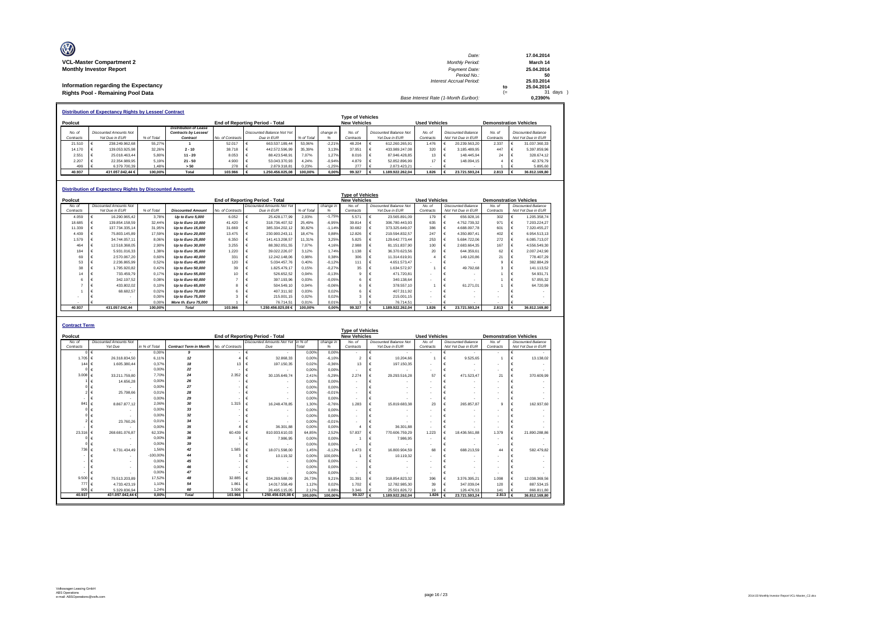| O                                    | Date:                                 |     | 17.04.2014 |
|--------------------------------------|---------------------------------------|-----|------------|
| <b>VCL-Master Compartment 2</b>      | <b>Monthly Period:</b>                |     | March 14   |
| <b>Monthly Investor Report</b>       | Payment Date:                         |     | 25.04.2014 |
|                                      | Period No.:                           |     | 50         |
|                                      | Interest Accrual Period:              |     | 25.03.2014 |
| Information regarding the Expectancy |                                       | to  | 25.04.2014 |
| Rights Pool - Remaining Pool Data    |                                       | $=$ | 31 days    |
|                                      | Base Interest Rate (1-Month Euribor): |     | 0.2390%    |

|           | <b>Distribution of Expectancy Rights by Lessee/ Contract</b>                                                                                          |                        |            |                       |                  |                            |            |           |           |                        |           |                    |           |                    |
|-----------|-------------------------------------------------------------------------------------------------------------------------------------------------------|------------------------|------------|-----------------------|------------------|----------------------------|------------|-----------|-----------|------------------------|-----------|--------------------|-----------|--------------------|
|           | <b>Type of Vehicles</b><br>Poolcut<br><b>New Vehicles</b><br><b>Used Vehicles</b><br>End of Reporting Period - Total<br><b>Demonstration Vehicles</b> |                        |            |                       |                  |                            |            |           |           |                        |           |                    |           |                    |
|           |                                                                                                                                                       |                        |            | Distribution of Lease |                  |                            |            |           |           |                        |           |                    |           |                    |
| No. of    |                                                                                                                                                       | Discounted Amounts Not |            | Contracts by Lessee/  |                  | Discounted Balance Not Yet |            | change in | No. of    | Discounted Balance Not | No of     | Discounted Balance | No of     | Discounted Balance |
| Contracts |                                                                                                                                                       | Yet Due in FUR         | % of Total | Contract              | No. of Contracts | Due in FUR                 | % of Total |           | Contracts | Yet Due in FUR         | Contracts | Not Yet Due in EUR | Contracts | Not Yet Due in EUR |
| 21.510    |                                                                                                                                                       | 238.249.962.68         | 55.27%     |                       | 52.017           | 663.537.189.44             | 53.06%     | $-2.21%$  | 48.204    | 612.260.265.91         | 1.476     | 20.239.563.20      | 2.337     | 31.037.360.33      |
| 14.170    |                                                                                                                                                       | 139.053.925.98         | 32.26%     | $2 - 10$              | 38.718           | 442.572.596.99             | 35.39%     | 3.13%     | 37.951    | 433.989.247.08         | 320       | 3.185.489.95       | 447       | 5.397.859.96       |
| 2.551     |                                                                                                                                                       | 25.018.463.44          | 5.80%      | $11 - 20$             | 8.053            | 88.423.548.91              | 7.07%      | 1.27%     | 8.016     | 87.946.428.85          | 13        | 148,445.94         | 24        | 328,674.12         |
| 2.207     |                                                                                                                                                       | 22.354.989.95          | 5.19%      | $21 - 50$             | 4.900            | 53.043.370.93              | 4 2 4%     | $-0.94%$  | 4.879     | 52.852.896.99          | 17        | 148,094.15         |           | 42,379.79          |
| 499       |                                                                                                                                                       | 6.379.700.39           | 1.48%      | > 50                  | 278              | 2.879.318.81               | 0.23%      | $-1.25%$  | 277       | 2.873.423.21           |           |                    |           | 5,895.60           |
| 40.937    |                                                                                                                                                       | 431.057.042.44 €       | 100.00%    | Total                 | 103,966          | 1.250.456.025.08           | 100.00%    | 0.00%     | 99.327    | 1.189.922.262.04       | 1.826     | 23,721,593,24      | 2,813     | 36,812,169.80      |

#### **Distribution of Expectancy Rights by Discounted Amounts**

|           |                               |            |                          |                  |                                        |            |           | Tvpe of Vehicles    |                               |                      |                           |                               |                           |
|-----------|-------------------------------|------------|--------------------------|------------------|----------------------------------------|------------|-----------|---------------------|-------------------------------|----------------------|---------------------------|-------------------------------|---------------------------|
| Poolcut   |                               |            |                          |                  | <b>End of Reporting Period - Total</b> |            |           | <b>New Vehicles</b> |                               | <b>Used Vehicles</b> |                           | <b>Demonstration Vehicles</b> |                           |
| No. of    | <b>Discounted Amounts Not</b> |            |                          |                  | <b>Discounted Amounts Not Yet</b>      |            | change in | No. of              | <b>Discounted Balance Not</b> | No. of               | <b>Discounted Balance</b> | No. of                        | <b>Discounted Balance</b> |
| Contracts | Yet Due in EUR                | % of Total | <b>Discounted Amount</b> | No. of Contracts | Due in EUR                             | % of Total |           | Contracts           | Yet Due in EUR                | Contracts            | Not Yet Due in EUR        | Contracts                     | Not Yet Due in EUR        |
| 4.059     | 16.290.965.42                 | 3.78%      | Up to Euro 5,000         | 6.052            | 25.428.177.99                          | 2.03%      | $-1.75%$  | 5.571               | 23.565.891.09                 | 179                  | 656.928.16                | 302                           | 1.205.358.74              |
| 18.685    | 139.854.158.59                | 32.44%     | Up to Euro 10,000        | 41.420           | 318.736.407.52                         | 25.49%     | $-6,95%$  | 39.814              | 306.780.443.93                | 635                  | 4.752.739.32              | 971                           | 7.203.224.27              |
| 11.339    | 137.734.335.14                | 31,95%     | Up to Euro 15,000        | 31.669           | 385.334.202.12                         | 30.82%     | $-1.14%$  | 30.682              | 373.325.649.07                | 386                  | 4.688.097.78              | 601                           | 7.320.455.27              |
| 4.439     | 75,803,145.89                 | 17.59%     | Up to Euro 20,000        | 13.475           | 230.900.243,11                         | 18.47%     | 0.88%     | 12.826              | 219.594.832.57                | 247                  | 4.350.897.41              | 402                           | 6.954.513.13              |
| 1.579     | 34.744.057.11                 | 8.06%      | Up to Euro 25,000        | 6,350            | 141.413.208.57                         | 11.31%     | 3.25%     | 5.825               | 129.642.773.44                | 253                  | 5.684.722.06              | 272                           | 6.085.713.07              |
| 464       | 12.518.368.05                 | 2.90%      | Up to Euro 30,000        | 3.255            | 88.392.051.55                          | 7.07%      | 4.16%     | 2.988               | 81.151.837.90                 | 100                  | 2.683.664.35              | 167                           | 4.556.549.30              |
| 184       | 5.931.016.33                  | 1.38%      | Up to Euro 35,000        | 1.220            | 39.022.226.07                          | 3.12%      | 1.74%     | 1.138               | 36.370.623.56                 | 20                   | 644.359.61                | 62                            | 2.007.242.90              |
| 69        | 2.570.067.20                  | 0.60%      | Up to Euro 40,000        | 331              | 12.242.148.06                          | 0.98%      | 0.38%     | 306                 | 11.314.619.91                 |                      | 149.120.86                | 21                            | 778,407.29                |
| 53        | 2.236.865.99                  | 0,52%      | Up to Euro 45,000        | 120              | 5.034.457.76                           | 0.40%      | $-0.12%$  | 111                 | 4.651.573.47                  |                      |                           |                               | 382.884.29                |
| 38        | 1.795.920.82                  | 0.42%      | Up to Euro 50,000        | 39               | 1.825.479.17                           | 0.15%      | $-0.27%$  | 35                  | 1.634.572.97                  |                      | 49.792.68                 |                               | 141.113.52                |
| 14        | 733.459.79                    | 0.17%      | Up to Euro 55,000        |                  | 526.652.52                             | 0.04%      | $-0.13%$  |                     | 471,720.81                    |                      |                           |                               | 54.931.71                 |
|           | 342.197.52                    | 0.08%      | Up to Euro 60,000        |                  | 397.193.96                             | 0.03%      | $-0.05%$  |                     | 340.138.64                    |                      |                           |                               | 57.055.32                 |
|           | 433.802.02                    | 0.10%      | Up to Euro 65,000        |                  | 504.549.10                             | 0.04%      | $-0.06%$  |                     | 378,557.10                    |                      | 61.271.01                 |                               | 64,720.99                 |
|           | 68,682.57                     | 0.02%      | Up to Euro 70,000        |                  | 407.311.92                             | 0.03%      | 0.02%     |                     | 407.311.92                    |                      |                           |                               |                           |
|           |                               | 0.00%      | Up to Euro 75,000        |                  | 215.001,15                             | 0.02%      | 0.02%     |                     | 215,001.15                    |                      |                           |                               |                           |
|           |                               | 0.00%      | More th. Euro 75,000     |                  | 76,714.51                              | 0.01%      | 0.01%     |                     | 76,714.51                     |                      |                           |                               |                           |
| 40.937    | 431.057.042.44                | 100.00%    | <b>Total</b>             | 103,966          | 1.250.456.025.08 €                     | 100.00%    | 0,00%     | 99.327              | 1.189.922.262.04              | 1.826                | 23.721.593.24             | 2,813                         | 36,812,169.80             |

| <b>Contract Term</b> |                                |                |                               |                  |                                        |         |           |                                                |   |                               |                      |                           |              |                               |
|----------------------|--------------------------------|----------------|-------------------------------|------------------|----------------------------------------|---------|-----------|------------------------------------------------|---|-------------------------------|----------------------|---------------------------|--------------|-------------------------------|
| Poolcut              |                                |                |                               |                  | <b>End of Reporting Period - Total</b> |         |           | <b>Type of Vehicles</b><br><b>New Vehicles</b> |   |                               | <b>Used Vehicles</b> |                           |              | <b>Demonstration Vehicles</b> |
| No. of               | <b>Discounted Amounts Not</b>  |                |                               |                  | Discounted Amounts Not Yet in % of     |         | change in | No. of                                         |   | <b>Discounted Balance Not</b> | No of                | <b>Discounted Balance</b> | No. of       | <b>Discounted Balance</b>     |
| Contracts            | Yet Due                        | in % of Total  | <b>Contract Term in Month</b> | No. of Contracts | Due                                    | Total   | %         | Contracts                                      |   | Yet Due in EUR                | Contracts            | Not Yet Due in EUR        | Contracts    | Not Yet Due in EUR            |
|                      | $\sim$                         | 0,00%          | 9                             |                  | $\epsilon$<br>$\overline{\phantom{a}}$ | 0,00%   | 0.00%     | ٠                                              | € | $\overline{\phantom{a}}$      | $\sim$               | $\sim$                    |              |                               |
| 1.705                | 26.318.834.50                  | 6.11%          | 12                            |                  | 32,868.33                              | 0.00%   | $-6.10%$  | $\overline{2}$                                 |   | 10,204.66                     |                      | 9.525.65                  |              | 13.138.02                     |
| 144                  | 1.605.380.44                   | 0.37%          | 18                            | 13               | 197.150.35                             | 0.02%   | $-0.36%$  | 13                                             | € | 197, 150, 35                  |                      |                           |              |                               |
|                      |                                | 0.00%          | 22                            |                  | $\overline{\phantom{a}}$               | 0.00%   | 0.00%     | $\overline{\phantom{a}}$                       | € | $\overline{\phantom{a}}$      |                      |                           |              |                               |
| 3.008                | 33,211,759.80                  | 7 7 0 %        | 24                            | 2.352            | 30.135.649.74                          | 2.41%   | $-5.29%$  | 2.274                                          |   | 29.293.516.28                 | 57                   | 471.523.47                | 21           | 370,609.99                    |
|                      | 14,656.28                      | 0.00%          | 26                            |                  |                                        | 0.00%   | 0.00%     | $\overline{\phantom{a}}$                       |   | $\overline{\phantom{a}}$      |                      |                           |              |                               |
|                      |                                | 0.00%          | 27                            |                  |                                        | 0.00%   | 0.00%     | $\overline{\phantom{a}}$                       |   | $\overline{\phantom{a}}$      |                      |                           |              |                               |
|                      | 25,798.66                      | 0.01%          | 28                            |                  |                                        | 0.00%   | $-0.01%$  | $\overline{\phantom{a}}$                       |   | $\overline{\phantom{a}}$      |                      |                           |              |                               |
|                      |                                | 0.00%          | 29                            |                  |                                        | 0.00%   | 0.00%     | ٠.                                             |   | $\overline{\phantom{a}}$      |                      |                           |              |                               |
| 841                  | 8.867.877.12                   | 2.06%          | 30                            | 1.315            | 16,248,478,85                          | 1.30%   | $-0.76%$  | 1.283                                          |   | 15.819.683.38                 | 23                   | 265,857.87                |              | 162,937.60                    |
|                      |                                | 0.00%          | 33                            |                  | $\overline{\phantom{a}}$               | 0.00%   | 0.00%     | $\overline{\phantom{a}}$                       |   | $\overline{\phantom{a}}$      |                      |                           |              |                               |
|                      |                                | 0.00%          | 32                            |                  |                                        | 0.00%   | 0.00%     | $\overline{\phantom{a}}$                       |   |                               |                      |                           |              |                               |
|                      | 23,760.26                      | 0.019          | 34                            |                  |                                        | 0.00%   | $-0.01%$  | $\overline{\phantom{a}}$                       |   |                               |                      |                           |              |                               |
|                      |                                | 0.00%          | 35                            |                  | 36,301.88                              | 0.00%   | 0.00%     | $\overline{A}$                                 |   | 36,301.88                     | ۰.                   |                           |              |                               |
| 23,316               | 268.681.076.87                 | 62,33%         | 36                            | 60.439           | 810.933.610.03                         | 64.85%  | 2.52%     | 57,837                                         |   | 770.606.759.29                | 1.223                | 18.436.561.88             | 1,379        | 21.890.288.86                 |
|                      |                                | 0.00%          | 38                            |                  | 7.986,95                               | 0,00%   | 0.00%     |                                                |   | 7.986,95                      | ۰.                   |                           |              |                               |
|                      |                                | 0.00%          | 39                            |                  |                                        | 0.00%   | 0.00%     |                                                |   |                               |                      |                           |              |                               |
| 736                  | 6.731.434.49                   | 1.56%          | 42                            | 1.585            | 18.071.598,00                          | 1.45%   | $-0.12%$  | 1.473                                          | € | 16.800.904.59                 | 68                   | 688.213.59                | 44           | 582.479,82                    |
| $\sim$               |                                | $-100.00%$     |                               |                  | 10.119,32                              | 0.00%   | 100.00%   |                                                |   | 10.119,32                     |                      |                           |              |                               |
|                      |                                | 0.00%          | 45                            |                  |                                        | 0.00%   | 0.00%     | ٠.                                             |   |                               |                      |                           |              |                               |
|                      |                                | 0.00%          | 46                            |                  |                                        | 0.00%   | 0.00%     | ٠.                                             |   |                               |                      |                           |              |                               |
|                      |                                | 0.00%          | 47                            |                  |                                        | 0.00%   | 0.00%     | $\overline{\phantom{a}}$                       |   |                               |                      |                           |              |                               |
| 9.500                | 75.513.203.89                  | 17.52%         | 48                            | 32,885           | 334.269.588.09                         | 26.73%  | 9.21%     | 31.391                                         |   | 318.854.823.32                | 396                  | 3.376.395.21              | 1.098        | 12.038.369.56                 |
| 777                  | 4.733.423.19                   | 1.10%          | 54                            | 1.86             | 14.017.558.49                          | 1,12%   | 0.02%     | 1.702                                          | € | 12.782.985.30                 | 39                   | 347.039.04                | 120          | 887.534.15                    |
| 905<br>40.937        | 5.329.836.94<br>431.057.042.44 | 1.24%<br>0.00% | 60<br><b>Total</b>            | 3.506<br>103,966 | 26,495.115.05<br>1.250.456.025.08€     | 2,12%   | 0.88%     | 3.346<br>99,327                                |   | 25.501.826,72                 | 19<br>1.826          | 126.476.53                | 141<br>2,813 | 866.811.80                    |
|                      |                                |                |                               |                  |                                        | 100.00% | 100.00%   |                                                |   | 1.189.922.262.04              |                      | 23.721.593.24             |              | 36.812.169.80                 |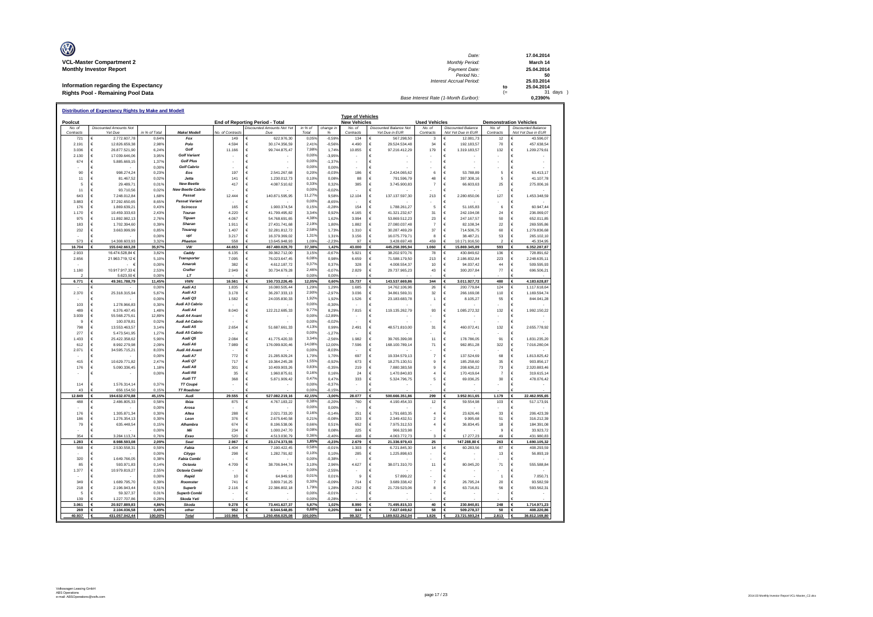| O                                    | Date:                                 |     | 17.04.2014    |
|--------------------------------------|---------------------------------------|-----|---------------|
| <b>VCL-Master Compartment 2</b>      | <b>Monthly Period:</b>                |     | March 14      |
| <b>Monthly Investor Report</b>       | Payment Date:                         |     | 25.04.2014    |
|                                      | Period No.:                           |     | 50            |
|                                      | Interest Accrual Period:              |     | 25.03.2014    |
| Information regarding the Expectancy |                                       | to  | 25.04.2014    |
| Rights Pool - Remaining Pool Data    |                                       | $=$ | $31$ days $)$ |
|                                      | Base Interest Rate (1-Month Euribor): |     | 0.2390%       |

|                  | Distribution of Expectancy Rights by Make and Model |                        |                            |                        |                                        |                 |                   |                                                |                                         |                                  |                                      |                      |                                                        |
|------------------|-----------------------------------------------------|------------------------|----------------------------|------------------------|----------------------------------------|-----------------|-------------------|------------------------------------------------|-----------------------------------------|----------------------------------|--------------------------------------|----------------------|--------------------------------------------------------|
| Poolcut          |                                                     |                        |                            |                        | <b>End of Reporting Period - Total</b> |                 |                   | <b>Type of Vehicles</b><br><b>New Vehicles</b> |                                         | <b>Used Vehicles</b>             |                                      |                      | <b>Demonstration Vehicles</b>                          |
| No. of           | <b>Discounted Amounts Not</b>                       |                        |                            |                        | Discounted Amounts Not Yel             | in %            | change in         | No. of                                         | <b>Discounted Balance Not</b>           | No. of                           | <b>Discounted Balance</b>            | No. of               | <b>Discounted Balance</b>                              |
| Contracts<br>721 | Yet Due<br>2.772.607,78<br>$\epsilon$               | in % of Total<br>0,649 | Make/Modell<br>Fox         | No. of Contract<br>149 | Due<br>622.976,30<br>€                 | Total<br>0.055  | %<br>$-0,599$     | Contracts<br>134                               | Yet Due in EUR<br>567.298,50<br>E       | Contracts<br>3                   | Not Yet Due in EUR<br>¢<br>12.081,73 | Contracts<br>12      | Not Yet Due in EUR<br>€<br>43.596,07                   |
| 2.191            | €<br>12.826.659,38                                  | 2,98%                  | Polo                       | 4.594                  | 30.174.356,59<br>€                     | 2,41%           | $-0,569$          | 4.490                                          | 29.524.534,48                           | 34                               | €<br>192.183,57                      | 70                   | €<br>457.638,54                                        |
| 3.036            | $\epsilon$<br>26.877.521,90                         | 6,24%                  | Golf                       | 11.166                 | 99.744.875,47<br>F                     | 7,98%           | 1,749             | 10.855                                         | 97.216.412,29<br>€                      | 179                              | €<br>1.319.183,57                    | 132                  | $\epsilon$<br>1.209.279,61                             |
| 2 130            | $\epsilon$<br>17.039.646.06                         | 3,95%                  | <b>Golf Variant</b>        |                        |                                        | 0,009           | $-3,95%$          | ٠                                              | €                                       |                                  | c                                    |                      | $\epsilon$                                             |
| 674              | 5.885.669,15<br>$\epsilon$                          | 1,37%                  | <b>Golf Plus</b>           |                        | £                                      | 0.00%           | $-1,379$          |                                                | €                                       |                                  | c                                    |                      | $\epsilon$                                             |
|                  | $\epsilon$                                          | 0,00%                  | <b>Golf Cabrio</b>         |                        | E                                      | 0.00%           | 0,00%             |                                                | E                                       |                                  | G.                                   |                      | €                                                      |
| 90               | $\epsilon$<br>998.274,24                            | 0,23%                  | Eos                        | 197                    | 2.541.267,68<br>€                      | 0,20%           | $-0,039$          | 186                                            | €<br>2.424.065,62                       | 6                                | €<br>53.788,89                       | 5                    | $\epsilon$<br>63.413,17                                |
| 11               | €<br>81.467.52                                      | 0.029                  | Jetta<br><b>New Beetle</b> | 141                    | 1.230.012,73                           | 0,109           | 0.089             | 88                                             | €<br>791.596.79                         | 48                               | €<br>397.308.16                      | 5                    | $\in$<br>41.107.78<br>€                                |
| 5<br>11          | 29.489,71<br>€<br>€<br>93.710,56                    | 0,01%<br>0,02%         | <b>New Beetle Cabrio</b>   | 417                    | 4.087.510,62                           | 0,339<br>0,00%  | 0,329<br>$-0,029$ | 385                                            | 3.745.900,83<br>€<br>E                  | $\overline{7}$                   | €<br>66.603,63<br>¢                  | 25                   | 275.006,16<br>€                                        |
| 643              | $\epsilon$<br>7 248 012 84                          | 1.68%                  | Passar                     | 12 444                 | 140.871.595.95                         | 11,279          | 9.58%             | 12.104                                         | 137.137.597,30<br>€                     | 213                              | $\epsilon$<br>2.280.650.06           | 127                  | $\epsilon$<br>1.453.348,59                             |
| 3.883            | 37.292.650,65<br>€                                  | 8,65%                  | <b>Passat Variant</b>      |                        |                                        | 0,009           | $-8,65%$          | ÷                                              | €                                       |                                  | €                                    |                      | €                                                      |
| 176              | 1.869.639,21<br>$\epsilon$                          | 0.43%                  | Scirocco                   | 165                    | 1.900.374.54                           | 0,159           | $-0,28%$          | 154                                            | 1.788.261.27<br>€                       | 5                                | c<br>51.165.83                       | 6                    | $\in$<br>60.947.44                                     |
| 1.170            | €<br>10.459.333,63                                  | 2,43%                  | Touran                     | 4.220                  | 41.799.495,82<br>€                     | 3,349           | 0,92%             | 4.165                                          | €<br>41.321.232,67                      | 31                               | €<br>242.194,08                      | 24                   | $\in$<br>236.069,07                                    |
| 975              | 11.892.982,13<br>€                                  | 2,76%                  | Tiguan                     | 4.067                  | 54.768.691,65                          | 4,389           | 1,62%             | 3.994                                          | 53.869.512,23<br>€                      | 23                               | €<br>247.167,57                      | 50                   | €<br>652.011,85                                        |
| 183              | $\epsilon$<br>1.702.394,60                          | 0,39%                  | Sharan                     | 1.911                  | 27.431.741,68                          | 2,199           | 1,80%             | 1.882                                          | 27.080.037,48<br>€                      | $\overline{7}$                   | €<br>82.108,34                       | 22                   | $\epsilon$<br>269.595,86                               |
| 232              | €<br>3.663.999,99                                   | 0,85%                  | Touareg                    | 1.407                  | 32.281.812,72                          | 2,589           | 1,73%             | 1.310                                          | €<br>30.287.469,29                      | 37                               | €<br>714.506,75                      | 60                   | $\epsilon$<br>1.279.836,68                             |
|                  | $\epsilon$                                          | 0,00%                  | up!                        | 3.217                  | 16.379.369,02<br>€                     | 1,319           | 1,31%             | 3.156                                          | €<br>16.075.779,71                      | 8                                | €<br>38.487,21                       | 53                   | $\epsilon$<br>265.102,10                               |
| 573<br>16,704    | 14 308 603 93<br>E<br>155.042.663.28<br>£           | 3.32%<br>35.97%        | Phaeton<br><b>VW</b>       | 558<br>44.653          | 13 645 948 93<br>467.480.029,70<br>£   | 1,09%<br>37.38% | $-2.239$<br>1.42% | 97<br>43,000                                   | 3.428.697.48<br>445.258.395.94<br>€     | 459<br>1.060                     | 10 171 916 50<br>€<br>15.869.345.89  | $\mathcal{L}$<br>593 | 45.334.95<br>É<br>6.352.287.87<br>€                    |
| 2933             | 16.474.528,84 €                                     | 3,829                  | Caddy                      | 6.135                  | €<br>39.362.712,00                     | 3.15%           | $-0,679$          | 5.921                                          | €<br>38.202.970,76                      | 78                               | ¢<br>430.849.62                      | 136                  | €<br>728.891.62                                        |
| 2.656            | 21.963.719,12 €                                     | 5,10%                  | <b>Transporter</b>         | 7.095                  | €<br>76.023.647,45                     | 6.08%           | 0,98%             | 6.659                                          | €<br>71.588.179,50                      | 213                              | €<br>2.186.832,84                    | 223                  | €<br>2.248.635,11                                      |
|                  | €                                                   | 0.00%                  | Amarok                     | 382                    | €<br>4.612.187.72                      | 0,379           | 0.37'             | 328                                            | €<br>4.008.554.37                       | 10                               | €<br>94.037.42                       | 44                   | $\epsilon$<br>509.595.93                               |
| 1.180            | 10.917.917,33 €                                     | 2,53%                  | Crafter                    | 2.949                  | 30.734.679,28<br>€                     | 2.46%           | $-0.079$          | 2.829                                          | €<br>29.737.965,23                      | 43                               | €<br>300.207,84                      | 77                   | $\epsilon$<br>696.506,21                               |
|                  | 5.623,50 €                                          | 0.00%                  | LT                         |                        |                                        | 0,009           | 0.00%             |                                                |                                         |                                  |                                      |                      |                                                        |
| 6,771            | 49.361.788.79                                       | 11.45%                 | <b>VWN</b>                 | 16,561                 | 150.733.226.45                         | 12.05%          | 0.60%             | 15,737                                         | 143.537.669.86                          | 344                              | 3.011.927.72<br>€                    | 480                  | €<br>4.183.628.87                                      |
|                  | c                                                   | 0.00%                  | Audi A1                    | 1.835                  | 16.080.505.44<br>F                     | 1,29%           | 1.29%             | 1.685                                          | 14.762.106.96<br>€                      | 26                               | ¢<br>200.779.84                      | 124                  | 1.117.618.64<br>€                                      |
| 2.370            | €<br>25.318.315.94                                  | 5.87%                  | Audi A3                    | 3 1 7 8                | 36.297.333.13                          | 2,90%           | $-2.97%$          | 3.036                                          | 34.861.569.31<br>€                      | 32                               | ¢<br>266,169.08                      | 110                  | €<br>1.169.594.74                                      |
|                  | €                                                   | 0.00%                  | Audi Q3<br>Audi A3 Cabrio  | 1.582                  | 24.035.830.33                          | 1.92%<br>0.00%  | 1.92%             | 1.526                                          | €<br>23.183.683.78                      | $\overline{1}$                   | €<br>8.105.27                        | 55                   | €<br>844.041,28                                        |
| 103<br>489       | €<br>1.278.966,83<br>€<br>6.376.497,45              | 0,30%<br>1,48%         | Audi A4                    | 8.040                  | 122.212.685,33<br>€                    | 9.77%           | $-0,309$<br>8,29% | 7.815                                          | 119.135.262,79<br>€                     | 93                               | €<br>€<br>1.085.272,32               | 132                  | €<br>€<br>1.992.150,22                                 |
| 3.939            | €<br>55.568.275.61                                  | 12,89%                 | Audi A4 Avant              |                        |                                        | 0,009           | 12,89%            |                                                |                                         |                                  | €                                    |                      | €                                                      |
| $\mathbf{Q}$     | €<br>100.078,81                                     | 0,02%                  | Audi A4 Cabrio             |                        |                                        | 0,00%           | $-0,02%$          |                                                | €                                       |                                  | €                                    |                      | $\epsilon$                                             |
| 798              | $\epsilon$<br>13 553 463 57                         | 3,14%                  | Audi A5                    | 2.654                  | 51.687.661,33                          | 4,13%           | 0.99%             | 2491                                           | 48.571.810,00<br>€                      | 31                               | $\epsilon$<br>460.072,41             | 132                  | $\in$<br>2.655.778,92                                  |
| 277              | $\epsilon$<br>547354195                             | 1,27%                  | Audi A5 Cabrio             |                        | F                                      | 0,009           | $-1.279$          |                                                | €                                       |                                  | $\epsilon$                           |                      | $\epsilon$                                             |
| 1433             | $\epsilon$<br>25.422.358.62                         | 5.90%                  | Audi Q5                    | 2.084                  | 41.775.420.33<br>€                     | 3,349           | $-2,569$          | 1.982                                          | 39.765.399.08<br>€                      | 11                               | €<br>178.786,05                      | 91                   | $\epsilon$<br>1.831.235.20                             |
| 612              | €<br>8.992.279,98                                   | 2,09%                  | Audi A6                    | 7.989                  | 176.099.920,46<br>€                    | 14,089          | 12,00%            | 7.596                                          | €<br>168.100.789,14                     | 71                               | $\in$<br>982.851,28                  | 322                  | $\in$<br>7.016.280,04                                  |
| 2.071            | €<br>34.595.715,21                                  | 8,03%                  | Audi A6 Avant              |                        |                                        | 0.00%           | $-8,039$          |                                                | €                                       |                                  | €                                    |                      | €                                                      |
|                  | €                                                   | 0,00%                  | Audi A7                    | 772                    | 21.285.929,24                          | 1,709           | 1,70%             | 697                                            | €<br>19.334.579,13                      | $\overline{7}$                   | €<br>137.524,69                      | 68                   | $\epsilon$<br>1.813.825,42                             |
| 415              | $\epsilon$<br>10.629.771,82                         | 2,47%                  | Audi Q7<br>Audi A8         | 717                    | 19 364 245 28<br>¢                     | 1,559<br>0,83%  | $-0,929$          | 673                                            | ¢<br>18.275.130,51<br>€                 | $\mathbf{Q}$<br>$\overline{9}$   | ¢<br>185 258 60                      | 35                   | $\epsilon$<br>903.856,17                               |
| 176              | €<br>5.090.336.45<br>$\epsilon$                     | 1,18%<br>0.00%         | Audi R8                    | 301<br>35              | 10.409.903,26<br>1.960.875,61          | 0,169           | $-0,359$<br>0.169 | 219<br>24                                      | 7.880.383,58<br>1.470.840,83<br>€       | $\overline{a}$                   | €<br>208.636,22<br>¢<br>170,419.64   | 73<br>$\overline{7}$ | $\epsilon$<br>2.320.883,46<br>$\epsilon$<br>319,615.14 |
|                  |                                                     |                        | Audi TT                    | 368                    | 5.871.909,42<br>€                      | 0,47%           | 0.47%             | 333                                            | 5.324.796,75<br>€                       | 5                                | $\epsilon$<br>69.036,25              | 30                   | $\epsilon$<br>478.076,42                               |
| 114              | $\epsilon$<br>1.576.314.14                          | 0,37%                  | <b>TT Couné</b>            |                        | E                                      | 0.00%           | $-0,379$          |                                                | €                                       |                                  | $\epsilon$                           |                      | $\epsilon$                                             |
| 43               | 656.154,50                                          | 0,15%                  | <b>TT Roadster</b>         |                        |                                        | 0.00%           | $-0,15%$          |                                                |                                         |                                  |                                      |                      | Ë                                                      |
| 12.849           | €<br>194.632.070,88                                 | 45,15%                 | Audi                       | 29.555                 | 527.082.219,16                         | 42,15%          | $-3,00%$          | 28.077                                         | 500.666.351,86<br>€                     | 299                              | 3.952.911,65<br>€                    | 1.179                | €<br>22.462.955,65                                     |
| 488              | €<br>2.486.805.33                                   | 0,58%                  | Ibiza                      | 875                    | 4.767.183,22                           | 0,389           | $-0.209$          | 760                                            | 4.190.454.33                            | 12                               | €<br>59.554,98                       | 103                  | 517.173,91<br>€                                        |
|                  | $\epsilon$                                          | 0,00%                  | Arosa                      |                        |                                        | 0,00%           | 0,00%             |                                                | F                                       |                                  | €                                    |                      | €                                                      |
| 176              | $\epsilon$<br>1 305 871 34                          | 0.30%                  | Altea                      | 288                    | 2 021 733 20<br>E                      | 0,169           | $-0.149$          | 251                                            | 1 791 683 35<br>€                       | $\overline{a}$                   | $\epsilon$<br>23 626 46              | 33                   | $\epsilon$<br>206 423 39                               |
| 186<br>79        | €<br>1.276.354.13<br>€                              | 0.30%<br>0.15%         | Leon<br>Alhambra           | 376<br>674             | 2.675.640.58<br>€<br>€                 | 0,219<br>0,669  | $-0.08%$          | 323<br>652                                     | 2.349.432.51<br>€<br>€                  | $\overline{2}$<br>$\overline{4}$ | €<br>9,995.68<br>€                   | 51                   | €<br>316.212.39<br>$\epsilon$<br>184.391,08            |
|                  | 635.448,54<br>€                                     | 0.00%                  | Mii                        | 234                    | 8.196.538,06<br>€<br>1.000.247,70      | 0.08%           | 0,51%<br>0,08%    | 225                                            | 7.975.312,53<br>€<br>966.323,98         |                                  | 36.834,45<br>€                       | 18<br>$\overline{9}$ | $\epsilon$<br>33,923.72                                |
| 354              | 3.284.113,74                                        | 0,769                  | Exec                       | 520                    | 4.513.030,79                           | 0,369           | $-0,40%$          | 468                                            | 4.063.772,73                            | 3                                | 17.277,23                            | 49                   | É<br>431.980,83                                        |
| 1.283            | €<br>8.988.593,08                                   | 2,09%                  | Seat                       | 2.967                  | 23.174.373,55                          | 1,85%           | $-0,23%$          | 2.679                                          | €<br>21.336.979,43                      | 25                               | 147.288,80 €                         | 263                  | €<br>1.690.105,32                                      |
| 568              | €<br>2.530.558,31                                   | 0.599                  | Fabia                      | 1.404                  | 7.190.422.45                           | 0,589           | $-0.019$          | 1.303                                          | €<br>6.721.845.30                       | 14                               | €<br>60.283,56                       | 87                   | €<br>408.293.59                                        |
|                  | €                                                   | 0,00%                  | Citygo                     | 298                    | 1.282.791,82                           | 0.109           | 0.10%             | 285                                            | 1.225.898,63<br>€                       |                                  | €                                    | 13                   | €<br>56.893,19                                         |
| 320              | €<br>1 649 766 05                                   | 0.38%                  | <b>Fabia Combi</b>         |                        |                                        | 0,00%           | $-0,389$          |                                                |                                         |                                  | ¢                                    |                      | €                                                      |
| 85               | $\epsilon$<br>593 971 83                            | 0.14%                  | Octavia                    | 4709                   | 38.706.944,74                          | 3,10%           | 2.96%             | 4627                                           | 38.071.310,70<br>€                      | 11                               | 80.045.20<br>c                       | 71                   | €<br>555 588 84                                        |
| 1.377            | €<br>10.979.819.27                                  | 2,55%                  | Octavia Combi              |                        |                                        | 0.00%           | $-2,559$          |                                                | €                                       |                                  | $\epsilon$                           |                      | €                                                      |
| 349              | €                                                   | 0,00%                  | Rapid                      | 10<br>741              | 64.949,93<br>€<br>€                    | 0.015<br>0.30%  | 0,01%             | 9<br>714                                       | 57.899,22<br>€                          | $\overline{7}$                   | €<br>26.795.24                       | 20                   | €<br>7.050,71                                          |
| 218              | €<br>1.689.795,70<br>€<br>2.196.943.44              | 0,39%<br>0,51%         | Roomster<br><b>Superb</b>  | 2.116                  | 3.809.716,25<br>22.386.802,18          | 1,799           | $-0,099$<br>1,289 | 2.052                                          | 3.689.338,42<br>€<br>21.729.523,06<br>€ | 8                                | €<br>€<br>63.716,81                  | 56                   | €<br>93.582,59<br>€<br>593.562,31                      |
| 5                | $\epsilon$<br>59.327,37                             | 0,01%                  | <b>Superb Combi</b>        |                        | ¢                                      | 0,00%           | $-0,019$          |                                                | €                                       |                                  | $\epsilon$                           |                      | €                                                      |
| 139              | 1 227 707 86                                        | 0.28%                  | Skoda Yeti                 |                        |                                        | 0.005           | 0.289             |                                                |                                         |                                  |                                      |                      |                                                        |
| 3.061            | €<br>20.927.889,83                                  | 4,86%                  | Skoda                      | 9.278                  | 73.441.627,37                          | 5,87%           | 1,02%             | 8.990                                          | 71.495.815,33<br>€                      | 40                               | 230.840,81                           | 248                  | €<br>1.714.971,23                                      |
| 269              | 2.104.036,58<br>€                                   | 0,49%                  | other                      | 952                    | 8.544.548,85                           | 0.68%           | 0,20°             | 844                                            | 7.627.049,62                            | 58                               | 509.278,37                           | 50                   | 408.220,86<br>€                                        |
| 40.937           | 431.057.042.44<br>£                                 | 100.00%                | <b>Total</b>               | 103.966                | 1.250.456.025.08                       | 100.00%         |                   | 99.327                                         | €<br>1.189.922.262,04                   | 1.826                            | 23.721.593,24                        | 2.813                | 36.812.169,80                                          |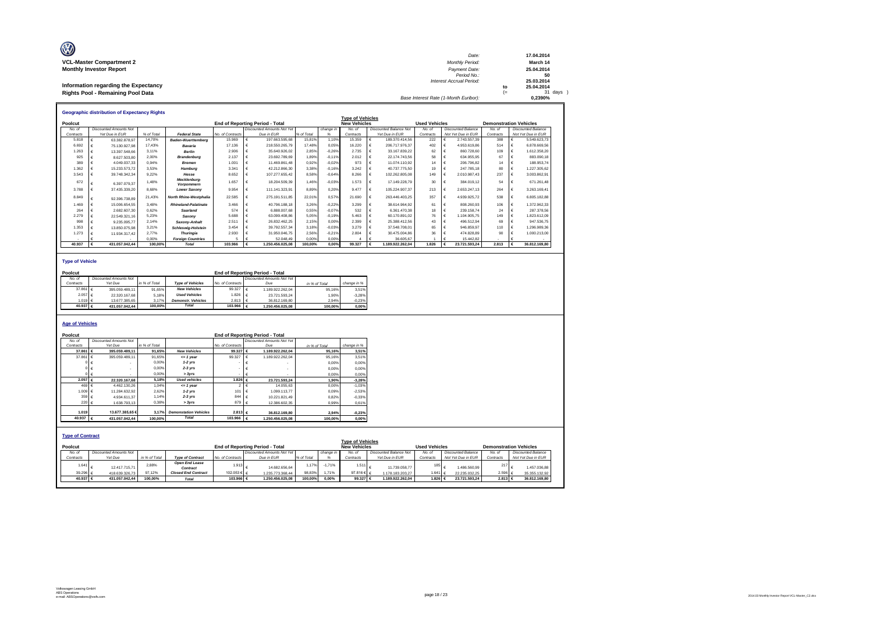| O                                    | Date:                                 |     | 17.04.2014 |
|--------------------------------------|---------------------------------------|-----|------------|
| <b>VCL-Master Compartment 2</b>      | <b>Monthly Period:</b>                |     | March 14   |
| <b>Monthly Investor Report</b>       | Payment Date:                         |     | 25.04.2014 |
|                                      | Period No.:                           |     | 50         |
|                                      | Interest Accrual Period:              |     | 25.03.2014 |
| Information regarding the Expectancy |                                       | to  | 25.04.2014 |
| Rights Pool - Remaining Pool Data    |                                       | $=$ | 31 days    |
|                                      | Base Interest Rate (1-Month Euribor): |     | 0.2390%    |

|           | <b>Geographic distribution of Expectancy Rights</b> |            |                               |                  |                                        |            |           |                         |                               |                      |                           |                               |                           |
|-----------|-----------------------------------------------------|------------|-------------------------------|------------------|----------------------------------------|------------|-----------|-------------------------|-------------------------------|----------------------|---------------------------|-------------------------------|---------------------------|
|           |                                                     |            |                               |                  |                                        |            |           | <b>Type of Vehicles</b> |                               |                      |                           |                               |                           |
| Poolcut   |                                                     |            |                               |                  | <b>End of Reporting Period - Total</b> |            |           | <b>New Vehicles</b>     |                               | <b>Used Vehicles</b> |                           | <b>Demonstration Vehicles</b> |                           |
| No. of    | <b>Discounted Amounts Not</b>                       |            |                               |                  | <b>Discounted Amounts Not Yet</b>      |            | change in | No. of                  | <b>Discounted Balance Not</b> | No. of               | <b>Discounted Balance</b> | No. of                        | <b>Discounted Balance</b> |
| Contracts | Yet Due in EUR                                      | % of Total | <b>Federal State</b>          | No. of Contracts | Due in EUR                             | % of Total |           | Contracts               | Yet Due in EUR                | Contracts            | Not Yet Due in EUR        | Contracts                     | Not Yet Due in EUR        |
| 5.818     | 63.382.878.97                                       | 14.70%     | <b>Baden-Wuerttemberg</b>     | 15,969           | 197.663.595.68                         | 15.81%     | 1.10%     | 15.359                  | 189.370.414.56                | 222                  | 2.743.557.39              | 388                           | 5.549.623.73              |
| 6.692     | 75.130.927.98                                       | 17.43%     | Bavaria                       | 17.136           | 218.550.265.79                         | 17.48%     | 0.05%     | 16.220                  | 206.717.976.37                | 402                  | 4.953.619.86              | 514                           | 6.878.669.56              |
| 1.263     | 13.397.548.66                                       | 3.11%      | <b>Berlin</b>                 | 2.906            | 35.640.926.02                          | 2.85%      | $-0.26%$  | 2.735                   | 33.167.839.22                 | 62                   | 860,728.60                | 109                           | 1.612.358.20              |
| 925       | 8.627.503.80                                        | 2.00%      | Brandenburg                   | 2.137            | 23.692.789.69                          | 1.89%      | $-0.11%$  | 2.012                   | 22.174.743.56                 | 58                   | 634.955.95                | 67                            | 883.090.18                |
| 389       | 4.049.037.33                                        | 0.94%      | <b>Bremen</b>                 | 1.001            | 11.469.861.48                          | 0.92%      | $-0.02%$  | 973                     | 11.074.110.92                 | 14                   | 206,796.82                | 14                            | 188,953,74                |
| 1.362     | 15.233.573.72                                       | 3.53%      | Hamburg                       | 3.341            | 42.212.866.30                          | 3.38%      | $-0.16%$  | 3.242                   | 40.737.775.50                 | 19                   | 247,785.18                | 80                            | 1.227.305.62              |
| 3.543     | 39.748.342.34                                       | 9.22%      | Hesse                         | 8.652            | 107.277.655.42                         | 8.58%      | $-0.64%$  | 8.266                   | 102.262.805.08                | 149                  | 2.010.987.43              | 237                           | 3.003.862.91              |
| 672       | 6.397.079.37                                        | 1.48%      | Mecklenburg-<br>Vornommern    | 1.657            | 18.204.509.39                          | 1.46%      | $-0.03%$  | 1.573                   | 17.149.228.79                 | 30                   | 384.019.12                | 54                            | 671.261.48                |
| 3.788     | 37.435.339.20                                       | 8.68%      | <b>Lower Saxony</b>           | 9.954            | 111.141.323.91                         | 8.89%      | 0.20%     | 9.477                   | 105.224.907.37                | 213                  | 2.653.247.13              | 264                           | 3.263.169.41              |
| 8.849     | 92.396.738.89                                       | 21.43%     | <b>North Rhine-Westphalia</b> | 22.585           | 275.191.511.85                         | 22.01%     | 0.57%     | 21.690                  | 263.446.403.25                | 357                  | 4.939.925.72              | 538                           | 6.805.182.88              |
| 1.469     | 15.006.654.55                                       | 3.48%      | <b>Rhineland-Palatinate</b>   | 3.466            | 40.796.188.18                          | 3.26%      | $-0.22%$  | 3.299                   | 38.614.964.92                 | 61                   | 808.260.93                | 106                           | 1.372.962.33              |
| 264       | 2.682.607.30                                        | 0.62%      | <b>Saarland</b>               | 574              | 6.888.007.68                           | 0.55%      | $-0.07%$  | 532                     | 6.361.470.38                  | 18                   | 239.158.74                | 24                            | 287.378.56                |
| 2.279     | 22.549.321.16                                       | 5.23%      | Saxonv                        | 5.688            | 63.099.408.86                          | 5.05%      | $-0.19%$  | 5463                    | 60.170.891.02                 | 76                   | 1.104.905.75              | 149                           | 1.823.612.09              |
| 998       | 9.235.095.77                                        | 2.14%      | Saxony-Anhalt                 | 2.511            | 26.832.462.25                          | 2.15%      | 0.00%     | 2.399                   | 25.388.412.56                 | 43                   | 496.512.94                | 69                            | 947.536.75                |
| 1.353     | 13,850,075,98                                       | 3.21%      | <b>Schleswig-Holstein</b>     | 3.454            | 39.792.557.34                          | 3.18%      | $-0.03%$  | 3.279                   | 37.548.708.01                 | 65                   | 946.859.97                | 110                           | 1.296.989.36              |
| 1.273     | 11.934.317.42                                       | 2.77%      | <b>Thuringia</b>              | 2.930            | 31.950.046.75                          | 2.56%      | $-0.21%$  | 2.804                   | 30.475.004.86                 | 36                   | 474.828.89                | 90                            | 1.000.213.00              |
|           |                                                     | 0.00%      | <b>Foreian Countries</b>      |                  | 52.048.49                              | 0.00%      | 0.00%     |                         | 36,605.67                     |                      | 15,442.82                 |                               |                           |
| 40.937    | 431.057.042.44                                      | 100.00%    | <b>Total</b>                  | 103,966          | 1.250.456.025.08                       | 100.00%    | 0.00%     | 99.327                  | 1.189.922.262.04              | 1.826                | 23.721.593.24             | 2.813                         | 36,812,169.80             |

**Type of Vehicle**

| Poolcut     |                        |               |                           |                  | <b>End of Reporting Period - Total</b> |               |             |
|-------------|------------------------|---------------|---------------------------|------------------|----------------------------------------|---------------|-------------|
| No. of      | Discounted Amounts Not |               |                           |                  | Discounted Amounts Not Yet             |               |             |
| Contracts   | Yet Due                | in % of Total | <b>Type of Vehicles</b>   | No. of Contracts | Due                                    | in % of Total | change in % |
| 37.861 $6$  | 395.059.489.11         | 91.65%        | <b>New Vehicles</b>       | 99.327           | 1.189.922.262.04                       | 95.16%        | 3.51%       |
| $2.057 \in$ | 22.320.167.68          | 5.18%         | <b>Used Vehicles</b>      | .826             | 23.721.593.24                          | 1.90%         | $-3.28%$    |
| $1.019$ $6$ | 13.677.385.65          | 3.17%         | <b>Demonstr.</b> Vehicles | 2.813            | 36.812.169.80                          | 2.94%         | $-0.23%$    |
| 40.937 €    | 431.057.042.44         | 100.00%       | <b>Total</b>              | 103.966          | 1.250.456.025.08                       | 100.00%       | 0.00%       |

**Age of Vehicles**

| Poolcut                            |                               |               |                              |                  | <b>End of Reporting Period - Total</b> |               |           |                                                |                               |                      |                           |           |                               |
|------------------------------------|-------------------------------|---------------|------------------------------|------------------|----------------------------------------|---------------|-----------|------------------------------------------------|-------------------------------|----------------------|---------------------------|-----------|-------------------------------|
| No. of                             | <b>Discounted Amounts Not</b> |               |                              |                  | <b>Discounted Amounts Not Yet</b>      |               |           |                                                |                               |                      |                           |           |                               |
| Contracts                          | Yet Due                       | in % of Total |                              | No. of Contracts | Due                                    | in % of Total |           | change in %                                    |                               |                      |                           |           |                               |
| 37,861                             | 395.059.489.11<br>€           | 91.65%        | <b>New Vehicles</b>          | 99.327 €         | 1.189.922.262.04                       |               | 95.16%    | 3,51%                                          |                               |                      |                           |           |                               |
| 37.861                             | 395.059.489.11                | 91.65%        | $= 1$ year                   | 99.327           | 1.189.922.262.04                       |               | 95.16%    | 3,51%                                          |                               |                      |                           |           |                               |
|                                    |                               | 0.00%         | $1-2$ vrs                    |                  |                                        |               | 0.00%     | 0.00%                                          |                               |                      |                           |           |                               |
|                                    |                               | 0.00%         | $2-3$ $Vrs$                  |                  |                                        |               | 0.00%     | 0,00%                                          |                               |                      |                           |           |                               |
|                                    | )∣€                           | 0.00%         | > 3yrs                       |                  |                                        |               | 0.00%     | 0,00%                                          |                               |                      |                           |           |                               |
| 2.057 €                            | 22.320.167.68                 | 5.18%         | <b>Used vehicles</b>         | 1.826 €          | 23.721.593.24                          |               | 1.90%     | $-3.28%$                                       |                               |                      |                           |           |                               |
| 469                                | 4.462.130.26                  | 1.04%         | $= 1$ year                   | $\overline{2}$   | 14.055.63                              |               | 0.00%     | $-1.03%$                                       |                               |                      |                           |           |                               |
| 1.009 $6$                          | 11.284.632.92                 | 2.62%         | $1-2$ vrs                    | 101              | 1.099.113.77                           |               | 0.09%     | $-2,53%$                                       |                               |                      |                           |           |                               |
| 359                                | 4.934.611.37                  | 1.14%         | $2-3$ $Vrs$                  | 844              | 10.221.821.49                          |               | 0,82%     | $-0.33%$                                       |                               |                      |                           |           |                               |
| 220 €                              | 1.638.793.13                  | 0.38%         | > 3yrs                       | 879              | 12.386.602.35                          |               | 0.99%     | 0.61%                                          |                               |                      |                           |           |                               |
| 1.019                              | 13,677,385,65€                | 3.17%         | <b>Demonstation Vehicles</b> | 2.813 ∈          | 36,812,169.80                          |               | 2.94%     |                                                |                               |                      |                           |           |                               |
| 40.937                             |                               |               | <b>Total</b>                 | 103.966 $6$      |                                        |               |           | $-0,23%$                                       |                               |                      |                           |           |                               |
|                                    | 431.057.042.44<br>€           | 100.00%       |                              |                  | 1.250.456.025.08                       |               | 100,00%   | 0,00%                                          |                               |                      |                           |           |                               |
| <b>Type of Contract</b><br>Poolcut |                               |               |                              |                  | <b>End of Reporting Period - Total</b> |               |           | <b>Type of Vehicles</b><br><b>New Vehicles</b> |                               | <b>Used Vehicles</b> |                           |           | <b>Demonstration Vehicles</b> |
| No. of                             | <b>Discounted Amounts Not</b> |               |                              |                  | <b>Discounted Amounts Not Yet</b>      |               | change in | No. of                                         | <b>Discounted Balance Not</b> | No. of               | <b>Discounted Balance</b> | No. of    | <b>Discounted Balance</b>     |
| Contracts                          | Yet Due                       | in % of Total | <b>Type of Contract</b>      | No. of Contracts | Due in EUR                             | % of Total    | %         | Contracts                                      | Yet Due in EUR                | Contracts            | Not Yet Due in EUR        | Contracts | Not Yet Due in EUR            |
| 1.64                               | 12.417.715.71                 | 2.88%         | Open End Lease<br>Contract   | 1.913            | 14.682.656.64                          | 1.17%         | $-1.71%$  | 1.511                                          | 11.739.058.77                 | 185                  | 1.486,560.99              | 21        | 1.457.036.88                  |
| 39.296 $6$                         | 418.639.326.73                | 97.12%        | <b>Closed End Contract</b>   | 102.053 € €      | 1.235.773.368.44                       | 98,83%        | 1.71%     | 97.816€ €                                      | 1.178.183.203.27              | 1.641 $6$            | 22.235.032.25             | 2.596 €   | 35.355.132.92                 |
| 40.937 €                           | 431.057.042,44                | 100.00%       | <b>Total</b>                 | 103.966 €        | 1.250.456.025,08                       | 100,00%       | 0.00%     | 99.327 €                                       | 1.189.922.262.04              | 1.826 €              | 23.721.593.24             | 2.813 €   | 36.812.169,80                 |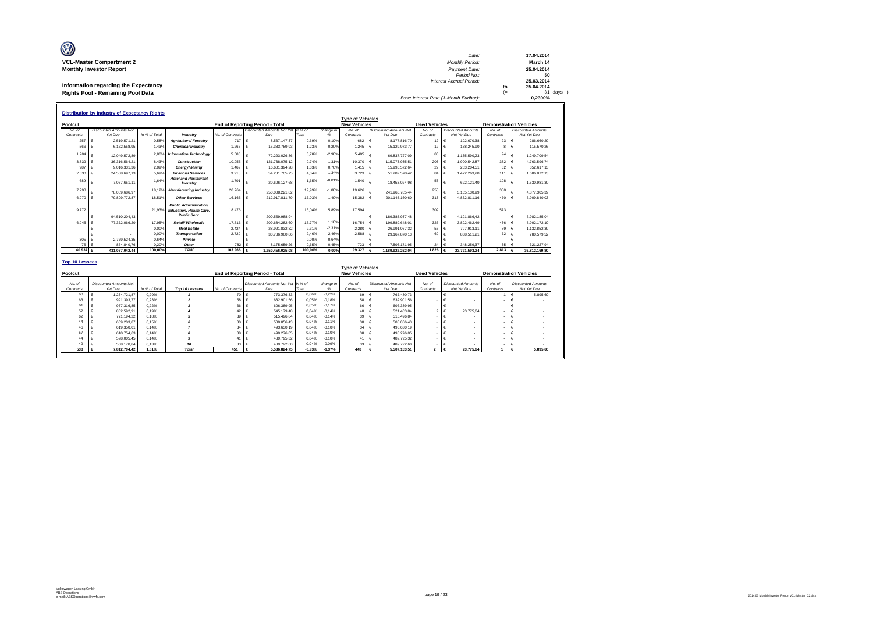| O                                    | Date:                                 | 17.04.2014    |
|--------------------------------------|---------------------------------------|---------------|
| <b>VCL-Master Compartment 2</b>      | <b>Monthly Period:</b>                | March 14      |
| <b>Monthly Investor Report</b>       | Payment Date:                         | 25.04.2014    |
|                                      | Period No.:                           |               |
|                                      | <b>Interest Accrual Period:</b>       | 25.03.2014    |
| Information regarding the Expectancy |                                       | 25.04.2014    |
| Rights Pool - Remaining Pool Data    |                                       | $31$ days $)$ |
|                                      | Base Interest Rate (1-Month Euribor): | 0.2390%       |

|           | <b>Distribution by Industry of Expectancy Rights</b> |               |                                                                                        |                  |                                    |         |           |                     |                               |                      |                           |                     |                               |
|-----------|------------------------------------------------------|---------------|----------------------------------------------------------------------------------------|------------------|------------------------------------|---------|-----------|---------------------|-------------------------------|----------------------|---------------------------|---------------------|-------------------------------|
|           |                                                      |               |                                                                                        |                  |                                    |         |           |                     | <b>Type of Vehicles</b>       |                      |                           |                     |                               |
| Poolcut   |                                                      |               |                                                                                        |                  | End of Reporting Period - Total    |         |           | <b>New Vehicles</b> |                               | <b>Used Vehicles</b> |                           |                     | <b>Demonstration Vehicles</b> |
| No. of    | <b>Discounted Amounts Not</b>                        |               |                                                                                        |                  | Discounted Amounts Not Yet In % of |         | change in | No of               | <b>Discounted Amounts Not</b> | No. of               | <b>Discounted Amounts</b> | No. of              | <b>Discounted Amounts</b>     |
| Contracts | Yet Due                                              | in % of Total | Industry                                                                               | No. of Contracts | Due                                | Total   | %         | Contracts           | Yet Due                       | Contracts            | Not Yet Due               | Contracts           | Not Yet Due                   |
| 257       | 2.519.571.21                                         | 0.58%         | <b>Agriculture/Forestrv</b>                                                            | 717              | 8.567.147.37                       | 0.69%   | $-0.10%$  | 682                 | 8.177.816.70                  | 12                   | $\epsilon$<br>102.670.38  | 23 $\epsilon$       | 286,660.29                    |
| 566       | 6.162.558.95                                         | 1.43%         | <b>Chemical Industry</b>                                                               | 1.265            | 15.383.789.93                      | 1.23%   | 0.20%     | 1.245               | 15.129.973.77<br>€            | 12                   | 138.245,90                | 8                   | 115.570,26                    |
| 1.204     | 12.049.572.89                                        | 2.80%         | <b>Information Technology</b>                                                          | 5,585            | 72.223.026.86                      | 5.78%   | $-2,98%$  | 5.405               | 69.837.727.09                 | 86                   | 1.135.590.23              | 94                  | 1.249.709.54                  |
| 3.839     | 36.316.564.21                                        | 8.43%         | Construction                                                                           | 10.955           | 121.738.075.12                     | 9.74%   | $-1.31%$  | 10.370              | 115.073.935.51<br>l €         | 203                  | 1.900.542.87              | 382                 | 4.763.596,74                  |
| 987       | 9.016.331.36                                         | 2.09%         | <b>Energy/Mining</b>                                                                   | 1.469            | 16.601.394.28                      | 1.33%   | 0.76%     | $1.415 \in$         | 15.995.572.64                 | 22                   | 253.204.51                | 32                  | 352.617.13                    |
| 2.030     | 24.508.697.13                                        | 5.69%         | <b>Financial Services</b>                                                              | 3.918            | 54.281.705.75                      | 4,34%   | 1.34%     | 3.723               | 51.202.570.42<br>€            | 84                   | 1.472.263.20              | 111                 | 1.606.872,13                  |
| 689       | 7.057.651.11                                         | 1.64%         | <b>Hotel and Restaurant</b><br>Industry                                                | 1.701            | 20.606.127,68                      | 1.65%   | $-0.01%$  | 1.540               | 18,453,024.98                 | 53                   | 622.121.40                | 108                 | 1.530.981.30                  |
| 7.298     | 78.089.686.97                                        | 18.12%        | <b>Manufacturing Industry</b>                                                          | 20.264           | 250.008.221.82                     | 19,99%  | $-1.88%$  | 19.626              | ¢<br>241 965 785 44           | 258                  | 3.165.130.99              | 380                 | 4.877.305.39                  |
| 6.970     | 79.809.772.87                                        | 18.51%        | <b>Other Services</b>                                                                  | 16.165           | 212.917.811.79                     | 17.03%  | 1.49%     | 15,382              | €<br>201.145.160.60           | 313                  | 4.862.811.16              | 470                 | 6.909.840.03                  |
| 9.772     |                                                      | 21.93%        | <b>Public Administration.</b><br><b>Education, Health Care.</b><br><b>Public Serv.</b> | 18.476           |                                    | 16.04%  | 5.89%     | 17,594              |                               | 309                  |                           | 573                 |                               |
|           | 94.510.204.43                                        |               |                                                                                        |                  | 200.559.988.94                     |         |           |                     | 189,385,937.48                |                      | 4.191.866.42              |                     | 6.982.185.04                  |
| 6.945     | 77.372.066.20                                        | 17.95%        | Retail/Wholesale                                                                       | 17,516           | 209.684.282.60                     | 16.77%  | 1.18%     | 16.754              | $\epsilon$<br>199.889.648.01  | 326                  | 3.892.462.49              | 436                 | 5.902.172.10                  |
|           |                                                      | 0.00%         | <b>Real Estate</b>                                                                     | 2.424            | 28.921.832.82                      | 2.31%   | $-2.31%$  | 2.280               | $\epsilon$<br>26.991.067.32   | 55                   | 797.913.11                | 89                  | 1.132.852.39                  |
|           |                                                      | 0.00%         | <b>Transportation</b>                                                                  | 2.729            | 30.786.960.86                      | 2.46%   | $-2.46%$  | 2.588               | €<br>29.167.870.13            | 69                   | 838.511.21                | 72                  | 780.579.52                    |
| 305       | 2.779.524.35                                         | 0.64%         | Private                                                                                |                  |                                    | 0.00%   | 0.64%     |                     |                               |                      |                           |                     |                               |
| 75        | 864,840.76                                           | 0.20%         | Other                                                                                  | 782 €            | 8.175.659.26                       | 0.65%   | $-0,45%$  | 723                 | 7.506.171.95                  | 24                   | 348.259.37                | 35                  | 321.227,94                    |
| 40.937    | 431.057.042.44<br>€                                  | 100,00%       | Total                                                                                  | 103.966 €        | 1.250.456.025,08                   | 100,00% | 0,00%     | 99.327              | 1.189.922.262,04              | 1.826                | 23.721.593,24             | 2.813 $\varepsilon$ | 36.812.169,80                 |

| <b>Top 10 Lessees</b>                      |  |                                          |               |                |                  |                                           |          |           |                                                |                                          |                     |                                          |                     |                                          |
|--------------------------------------------|--|------------------------------------------|---------------|----------------|------------------|-------------------------------------------|----------|-----------|------------------------------------------------|------------------------------------------|---------------------|------------------------------------------|---------------------|------------------------------------------|
| Poolcut<br>End of Reporting Period - Total |  |                                          |               |                |                  |                                           |          |           | <b>Type of Vehicles</b><br><b>New Vehicles</b> |                                          |                     | <b>Used Vehicles</b>                     |                     | <b>Demonstration Vehicles</b>            |
| No. of<br>Contracts                        |  | <b>Discounted Amounts Not</b><br>Yet Due | in % of Total | Top 10 Lessees | No. of Contracts | Discounted Amounts Not Yet in % of<br>Due | Total    | change in | No. of<br>Contracts                            | <b>Discounted Amounts Not</b><br>Yet Due | No. of<br>Contracts | <b>Discounted Amounts</b><br>Not Yet Due | No. of<br>Contracts | <b>Discounted Amounts</b><br>Not Yet Due |
| 60                                         |  | 1.234.721.87                             | 0.29%         |                | 70               | 773,376,33                                | 0.06%    | $-0.22%$  | 69 €                                           | 767.480.73                               | . .                 | $\overline{\phantom{a}}$                 |                     | 5,895.60                                 |
| 63                                         |  | 991.393.77                               | 0.23%         |                | 58 €             | 632.901.56                                | 0.05%    | $-0.18%$  | 58 €                                           | 632.901.56                               | $\sim$              | $\overline{\phantom{a}}$                 |                     | $\overline{\phantom{a}}$                 |
| 61                                         |  | 957.316.85                               | 0.22%         |                | 66 €             | 606,389.95                                | 0.05%    | $-0.17%$  | 66 €                                           | 606.389.95                               | <b>COL</b>          |                                          |                     | $\overline{\phantom{a}}$                 |
| 52                                         |  | 802.592.91                               | 0.19%         |                | 42 €             | 545,179.48                                | 0.04%    | $-0.14%$  | 40 €                                           | 521.403.84                               |                     | 23,775.64                                |                     | ۰                                        |
| 62                                         |  | 771.194.22                               | 0.18%         |                | $39 \in$         | 515.496.84                                | 0.04%    | $-0.14%$  | 39 €                                           | 515,496.84                               |                     |                                          |                     |                                          |
| 44                                         |  | 659,203.87                               | 0.15%         |                | $30 \in$         | 500.056.43                                | 0.04%    | $-0.11%$  | 30 €                                           | 500.056.43                               |                     | ٠                                        |                     |                                          |
| 46                                         |  | 619,350.01                               | 0.14%         |                | $34 \in$         | 493.630.19                                | 0.04%    | $-0.10%$  | $34 \in$                                       | 493.630.19                               |                     |                                          |                     |                                          |
| 57                                         |  | 610.754.63                               | 0.14%         |                | 38 €             | 490.276.05                                | 0.04%    | $-0.10%$  | 38 €                                           | 490.276.05                               |                     |                                          |                     |                                          |
| 44                                         |  | 598.005.45                               | 0.14%         |                | 41 €             | 489,795.32                                | 0.04%    | $-0.10%$  | 41                                             | 489.795.32                               |                     |                                          |                     |                                          |
| 49                                         |  | 568,170.84                               | 0.13%         |                | $33 \in$         | 489,722.60                                | 0.04%    | $-0.09%$  | $33 \quad 6$                                   | 489,722.60                               |                     |                                          |                     |                                          |
| 538                                        |  | 7.812.704,42                             | 1.81%         | <b>Total</b>   | 451              | 5.536.824.75                              | $-0.93%$ | $-1.37%$  | 448                                            | 5.507.153.51                             | $\overline{2}$      | 23,775.64                                |                     | 5.895,60                                 |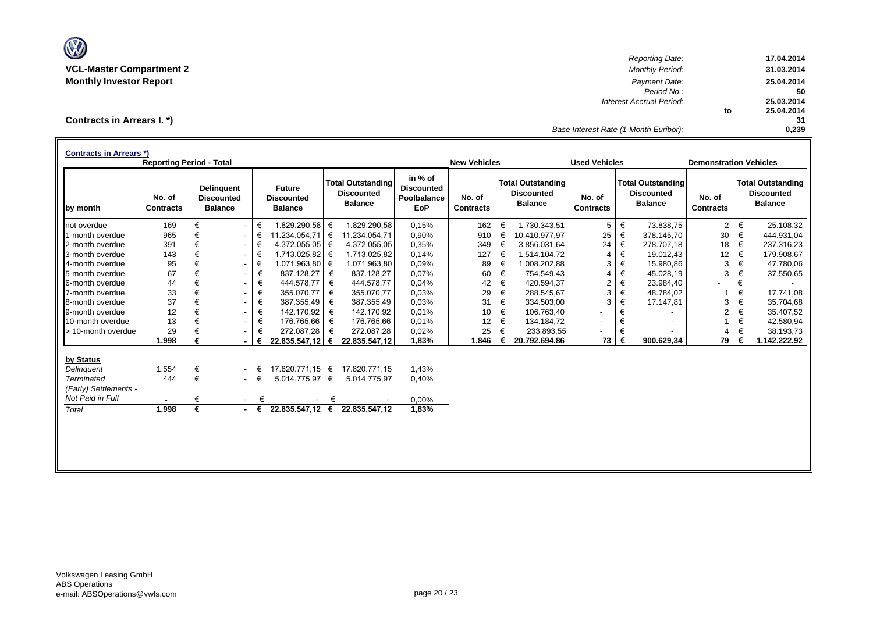

*Reporting Date:* **17.04.2014 VCL-Master Compartment 2** *Monthly Period:* **31.03.2014 Monthly Investor Report** *Payment Date:* **25.04.2014** *Period No.:* **50** *Interest Accrual Period:* **25.03.2014 to 25.04.2014 31** *Base Interest Rate (1-Month Euribor):* **0,239**

**Contracts in Arrears I. \*)**

|                       | <b>Contracts in Arrears *)</b><br><b>Reporting Period - Total</b> |   |                                                          |   |                                                      |   |                                                                 |                                                           |                            |   | <b>New Vehicles</b>                                             |                            |   | <b>Used Vehicles</b>                                            |                            |   | <b>Demonstration Vehicles</b>                                   |  |  |
|-----------------------|-------------------------------------------------------------------|---|----------------------------------------------------------|---|------------------------------------------------------|---|-----------------------------------------------------------------|-----------------------------------------------------------|----------------------------|---|-----------------------------------------------------------------|----------------------------|---|-----------------------------------------------------------------|----------------------------|---|-----------------------------------------------------------------|--|--|
| by month              | No. of<br><b>Contracts</b>                                        |   | <b>Delinquent</b><br><b>Discounted</b><br><b>Balance</b> |   | <b>Future</b><br><b>Discounted</b><br><b>Balance</b> |   | <b>Total Outstanding</b><br><b>Discounted</b><br><b>Balance</b> | in % of<br><b>Discounted</b><br>Poolbalance<br><b>EoP</b> | No. of<br><b>Contracts</b> |   | <b>Total Outstanding</b><br><b>Discounted</b><br><b>Balance</b> | No. of<br><b>Contracts</b> |   | <b>Total Outstanding</b><br><b>Discounted</b><br><b>Balance</b> | No. of<br><b>Contracts</b> |   | <b>Total Outstanding</b><br><b>Discounted</b><br><b>Balance</b> |  |  |
| not overdue           | 169                                                               | € | $\sim$                                                   | € | 1.829.290,58 €                                       |   | 1.829.290.58                                                    | 0.15%                                                     | 162                        | € | 1.730.343.51                                                    | 5                          | € | 73.838,75                                                       | $\overline{c}$             | € | 25.108,32                                                       |  |  |
| 1-month overdue       | 965                                                               | € | $\sim$                                                   | € | 11.234.054,71 €                                      |   | 11.234.054,71                                                   | 0,90%                                                     | 910                        | € | 10.410.977,97                                                   | 25                         | € | 378.145,70                                                      | 30                         | € | 444.931,04                                                      |  |  |
| 2-month overdue       | 391                                                               | € | $\sim$                                                   | € | $4.372.055.05$ $\in$                                 |   | 4.372.055,05                                                    | 0.35%                                                     | 349                        | € | 3.856.031,64                                                    | 24                         | € | 278.707,18                                                      | 18                         | € | 237.316,23                                                      |  |  |
| 3-month overdue       | 143                                                               | € | $\sim$                                                   | € | 1.713.025,82 €                                       |   | 1.713.025,82                                                    | 0.14%                                                     | 127                        | € | 1.514.104,72                                                    | 4                          | € | 19.012,43                                                       | 12                         | € | 179.908,67                                                      |  |  |
| 4-month overdue       | 95                                                                | € | $\sim$                                                   | € | 1.071.963,80 €                                       |   | 1.071.963.80                                                    | 0.09%                                                     | 89                         | € | 1.008.202,88                                                    | 3                          | € | 15.980,86                                                       | 3                          | € | 47.780,06                                                       |  |  |
| 5-month overdue       | 67                                                                | € | $\sim$                                                   | € | 837.128,27                                           | € | 837.128,27                                                      | 0,07%                                                     | 60                         | € | 754.549.43                                                      | $\overline{4}$             | € | 45.028,19                                                       | 3                          | € | 37.550,65                                                       |  |  |
| 6-month overdue       | 44                                                                | € | $\sim$                                                   | € | 444.578.77                                           | € | 444.578,77                                                      | 0.04%                                                     | 42                         | € | 420.594.37                                                      | 2                          | € | 23.984,40                                                       |                            | € |                                                                 |  |  |
| 7-month overdue       | 33                                                                | € | $\sim$                                                   | € | 355.070,77                                           | € | 355.070,77                                                      | 0,03%                                                     | 29                         | € | 288.545,67                                                      | 3                          | € | 48.784,02                                                       |                            | € | 17.741,08                                                       |  |  |
| 8-month overdue       | 37                                                                | € | $\sim$                                                   | € | 387.355,49                                           | € | 387.355,49                                                      | 0,03%                                                     | 31                         | € | 334.503,00                                                      | 3                          | € | 17.147,81                                                       | 3                          | € | 35.704,68                                                       |  |  |
| 9-month overdue       | 12                                                                | € | $\sim$                                                   | € | 142.170,92                                           | € | 142.170,92                                                      | 0.01%                                                     | 10                         | € | 106.763,40                                                      |                            | € |                                                                 | 2                          | € | 35.407,52                                                       |  |  |
| 10-month overdue      | 13                                                                | € | $\sim$                                                   | € | 176.765,66                                           | € | 176.765,66                                                      | 0.01%                                                     | 12                         | € | 134.184.72                                                      |                            | € |                                                                 |                            | € | 42.580,94                                                       |  |  |
| > 10-month overdue    | 29                                                                |   | $\sim$                                                   | € | 272.087,28                                           | € | 272.087,28                                                      | 0,02%                                                     | 25                         | € | 233.893,55                                                      | ٠                          | € |                                                                 | 4                          |   | 38.193,73                                                       |  |  |
|                       | 1.998                                                             | € |                                                          | € | 22.835.547,12 $\in$                                  |   | 22.835.547,12                                                   | 1,83%                                                     | 1.846                      |   | 20.792.694,86                                                   | 73                         | € | 900.629,34                                                      | 79                         | € | 1.142.222,92                                                    |  |  |
| by Status             |                                                                   |   |                                                          |   |                                                      |   |                                                                 |                                                           |                            |   |                                                                 |                            |   |                                                                 |                            |   |                                                                 |  |  |
| Delinguent            | 1.554                                                             | € |                                                          | € | 17.820.771.15 €                                      |   | 17.820.771.15                                                   | 1,43%                                                     |                            |   |                                                                 |                            |   |                                                                 |                            |   |                                                                 |  |  |
| Terminated            | 444                                                               | € | $\sim$                                                   | € | 5.014.775,97 €                                       |   | 5.014.775,97                                                    | 0,40%                                                     |                            |   |                                                                 |                            |   |                                                                 |                            |   |                                                                 |  |  |
| (Early) Settlements - |                                                                   |   |                                                          |   |                                                      |   |                                                                 |                                                           |                            |   |                                                                 |                            |   |                                                                 |                            |   |                                                                 |  |  |
| Not Paid in Full      | $\overline{\phantom{a}}$                                          | € | $\sim$                                                   | € |                                                      | € |                                                                 | 0,00%                                                     |                            |   |                                                                 |                            |   |                                                                 |                            |   |                                                                 |  |  |
| Total                 | 1.998                                                             | € | $\sim$                                                   | € |                                                      |   | 22.835.547,12 € 22.835.547,12                                   | 1,83%                                                     |                            |   |                                                                 |                            |   |                                                                 |                            |   |                                                                 |  |  |
|                       |                                                                   |   |                                                          |   |                                                      |   |                                                                 |                                                           |                            |   |                                                                 |                            |   |                                                                 |                            |   |                                                                 |  |  |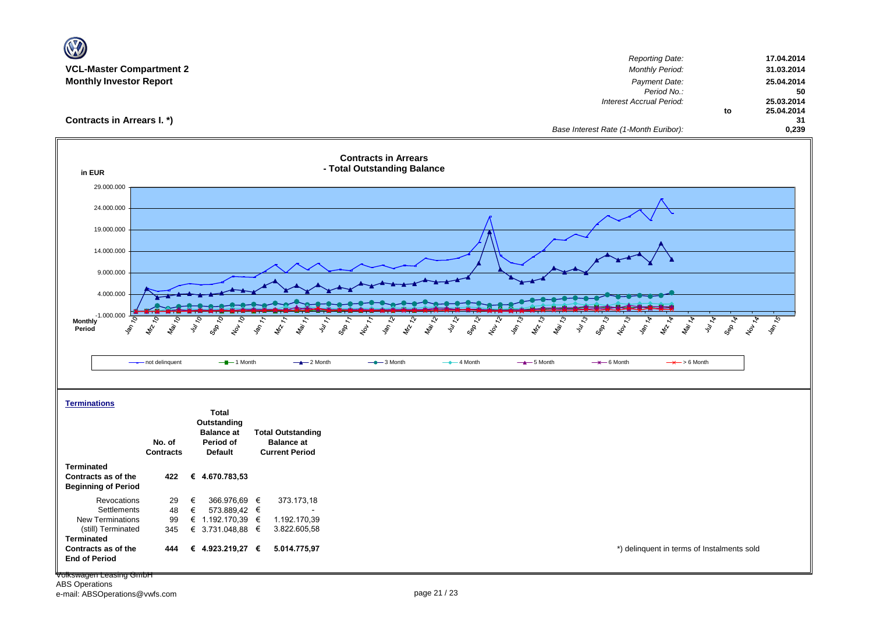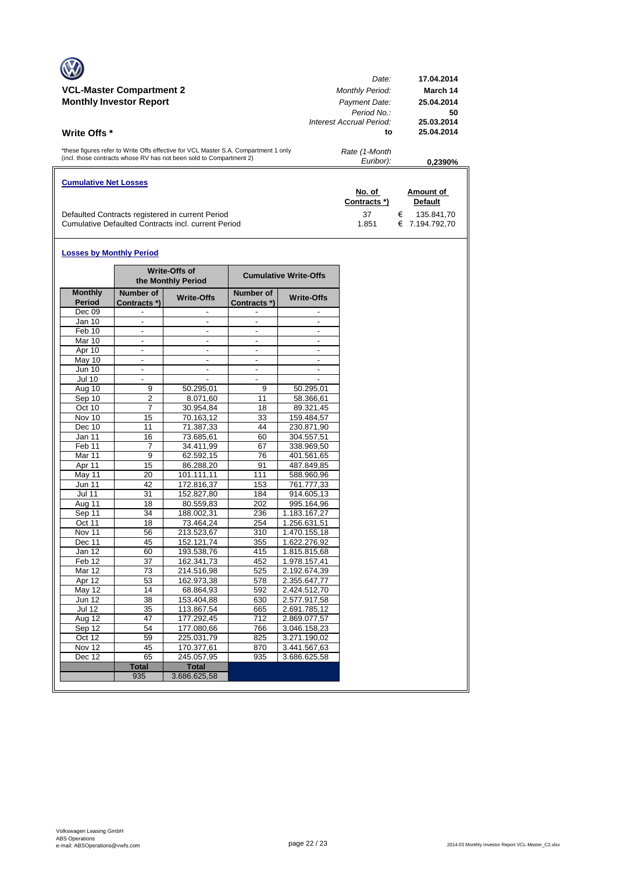|                                                                                     | Date:                    | 17.04.2014 |
|-------------------------------------------------------------------------------------|--------------------------|------------|
| <b>VCL-Master Compartment 2</b>                                                     | <b>Monthly Period:</b>   | March 14   |
| <b>Monthly Investor Report</b>                                                      | Payment Date:            | 25.04.2014 |
|                                                                                     | Period No.:              | 50         |
|                                                                                     | Interest Accrual Period: | 25.03.2014 |
| <b>Write Offs</b> *                                                                 | to                       | 25.04.2014 |
| *these figures refer to Write Offs effective for VCL Master S.A. Compartment 1 only | Rate (1-Month            |            |
| (incl. those contracts whose RV has not been sold to Compartment 2)                 | Euribor):                | 0.2390%    |
| <b>Cumulative Net Losses</b>                                                        |                          |            |
|                                                                                     |                          |            |

|                                                     | No. of       | Amount of      |
|-----------------------------------------------------|--------------|----------------|
|                                                     | Contracts *) | <b>Default</b> |
| Defaulted Contracts registered in current Period    | -37          | € 135.841.70   |
| Cumulative Defaulted Contracts incl. current Period | 1.851        | € 7.194.792.70 |

#### **Losses by Monthly Period**

 $\overline{\phantom{a}}$ 

|                          |                           | <b>Write-Offs of</b><br>the Monthly Period |                           | <b>Cumulative Write-Offs</b> |  |  |  |
|--------------------------|---------------------------|--------------------------------------------|---------------------------|------------------------------|--|--|--|
| <b>Monthly</b><br>Period | Number of<br>Contracts *) | <b>Write-Offs</b>                          | Number of<br>Contracts *) | <b>Write-Offs</b>            |  |  |  |
| Dec 09                   |                           |                                            |                           |                              |  |  |  |
| Jan 10                   | $\blacksquare$            | ٠                                          | ä,                        |                              |  |  |  |
| Feb 10                   | $\overline{\phantom{a}}$  | $\overline{\phantom{a}}$                   | ٠                         | $\overline{\phantom{a}}$     |  |  |  |
| Mar 10                   | $\blacksquare$            | ٠                                          | $\blacksquare$            |                              |  |  |  |
| Apr 10                   | $\blacksquare$            |                                            | $\blacksquare$            |                              |  |  |  |
| May 10                   | $\blacksquare$            | $\overline{\phantom{a}}$                   | $\frac{1}{2}$             |                              |  |  |  |
| <b>Jun 10</b>            | $\blacksquare$            | $\overline{\phantom{a}}$                   | $\overline{\phantom{a}}$  |                              |  |  |  |
| <b>Jul 10</b>            |                           |                                            | L.                        |                              |  |  |  |
| Aug 10                   | 9                         | 50.295,01                                  | 9                         | 50.295,01                    |  |  |  |
| Sep 10                   | $\overline{2}$            | 8.071,60                                   | 11                        | 58.366,61                    |  |  |  |
| Oct 10                   | $\overline{7}$            | 30.954,84                                  | 18                        | 89.321,45                    |  |  |  |
| Nov 10                   | 15                        | 70.163,12                                  | 33                        | 159.484,57                   |  |  |  |
| Dec 10                   | 11                        | 71.387,33                                  | 44                        | 230.871,90                   |  |  |  |
| Jan $11$                 | 16                        | 73.685,61                                  | 60                        | 304.557,51                   |  |  |  |
| Feb 11                   | 7                         | 34.411,99                                  | 67                        | 338.969,50                   |  |  |  |
| Mar 11                   | 9                         | 62.592,15                                  | 76                        | 401.561,65                   |  |  |  |
| Apr 11                   | 15                        | 86.288.20                                  | 91                        | 487.849.85                   |  |  |  |
| May 11                   | 20                        | 101.111,11                                 | 111                       | 588.960,96                   |  |  |  |
| <b>Jun 11</b>            | 42                        | 172.816,37                                 | 153                       | 761.777,33                   |  |  |  |
| <b>Jul 11</b>            | 31                        | 152.827,80                                 | 184                       | 914.605,13                   |  |  |  |
| Aug 11                   | 18                        | 80.559,83                                  | 202                       | 995.164,96                   |  |  |  |
| Sep 11                   | $\overline{34}$           | 188.002,31                                 | 236                       | 1.183.167,27                 |  |  |  |
| Oct 11                   | 18                        | 73.464.24                                  | 254                       | 1.256.631,51                 |  |  |  |
| Nov 11                   | 56                        | 213.523,67                                 | 310                       | 1.470.155,18                 |  |  |  |
| Dec 11                   | 45                        | 152.121,74                                 | 355                       | 1.622.276,92                 |  |  |  |
| Jan 12                   | 60                        | 193.538.76                                 | 415                       | 1.815.815.68                 |  |  |  |
| Feb <sub>12</sub>        | 37                        | 162.341,73                                 | 452                       | 1.978.157,41                 |  |  |  |
| Mar 12                   | 73                        | 214.516,98                                 | 525                       | 2.192.674,39                 |  |  |  |
| Apr 12                   | 53                        | 162.973,38                                 | 578                       | 2.355.647,77                 |  |  |  |
| <b>May 12</b>            | 14                        | 68.864,93                                  | 592                       | 2.424.512,70                 |  |  |  |
| <b>Jun 12</b>            | 38                        | 153.404,88                                 | 630                       | 2.577.917,58                 |  |  |  |
| <b>Jul 12</b>            | 35                        | 113.867,54                                 | 665                       | 2.691.785,12                 |  |  |  |
| Aug 12                   | 47                        | 177.292,45                                 | 712                       | 2.869.077,57                 |  |  |  |
| Sep 12                   | 54                        | 177.080,66                                 | 766                       | 3.046.158,23                 |  |  |  |
| Oct 12                   | 59                        | 225.031,79                                 | 825<br>3.271.190,02       |                              |  |  |  |
| Nov 12                   | 45                        | 170.377,61                                 | 870<br>3.441.567,63       |                              |  |  |  |
| Dec 12                   | 65                        | 245.057,95                                 | 935                       | 3.686.625,58                 |  |  |  |
|                          | <b>Total</b>              | <b>Total</b>                               |                           |                              |  |  |  |
|                          | 935                       | 3.686.625,58                               |                           |                              |  |  |  |